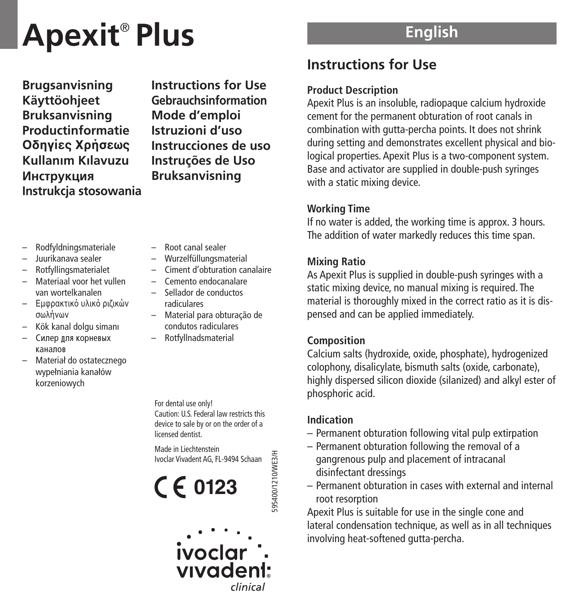# **Apexit** ® **Plus**

**Brugsanvisning Käyttöohjeet Bruksanvisning Productinformatie Oδηγίες Xρήσεως Kullan›m K›lavuzu Инструкция Instrukcja stosowania** **Instructions for Use Gebrauchsinformation Mode d'emploi Istruzioni d'uso Instrucciones de uso Instruções de Uso Bruksanvisning**

- Rodfyldningsmateriale
- Juurikanava sealer
- Rotfyllingsmaterialet
- Materiaal voor het vullen van wortelkanalen
- Εμφρακτικό υλικό ριζικών σωλήνων
- Kök kanal dolgu siman›
- Силер лля корневых KAHANOR
- Materiał do ostatecznego wypełniania kanałów korzeniowych
- Root canal sealer
- Wurzelfüllungsmaterial
- Ciment d'obturation canalaire
- Cemento endocanalare
- Sellador de conductos radiculares
- Material para obturação de condutos radiculares
- Rotfyllnadsmaterial

For dental use only! Caution: U.S. Federal law restricts this device to sale by or on the order of a **licensed dentist** 

Made in Liechtenstein 95400/1210/WE3/H 595400/1210/WE3/H Ivoclar Vivadent AG, FL-9494 Schaan

 $C \in 0123$ 

# **English**

# **Instructions for Use**

## **Product Description**

Apexit Plus is an insoluble, radiopaque calcium hydroxide cement for the permanent obturation of root canals in combination with gutta-percha points. It does not shrink during setting and demonstrates excellent physical and biological properties. Apexit Plus is a two-component system. Base and activator are supplied in double-push syringes with a static mixing device.

## **Working Time**

If no water is added, the working time is approx. 3 hours. The addition of water markedly reduces this time span.

## **Mixing Ratio**

As Apexit Plus is supplied in double-push syringes with a static mixing device, no manual mixing is required. The material is thoroughly mixed in the correct ratio as it is dispensed and can be applied immediately.

## **Composition**

Calcium salts (hydroxide, oxide, phosphate), hydrogenized colophony, disalicylate, bismuth salts (oxide, carbonate), highly dispersed silicon dioxide (silanized) and alkyl ester of phosphoric acid.

## **Indication**

- Permanent obturation following vital pulp extirpation
- Permanent obturation following the removal of a gangrenous pulp and placement of intracanal disinfectant dressings
- Permanent obturation in cases with external and internal root resorption

Apexit Plus is suitable for use in the single cone and lateral condensation technique, as well as in all techniques involving heat-softened gutta-percha.

ivoclar vivadent:

clinical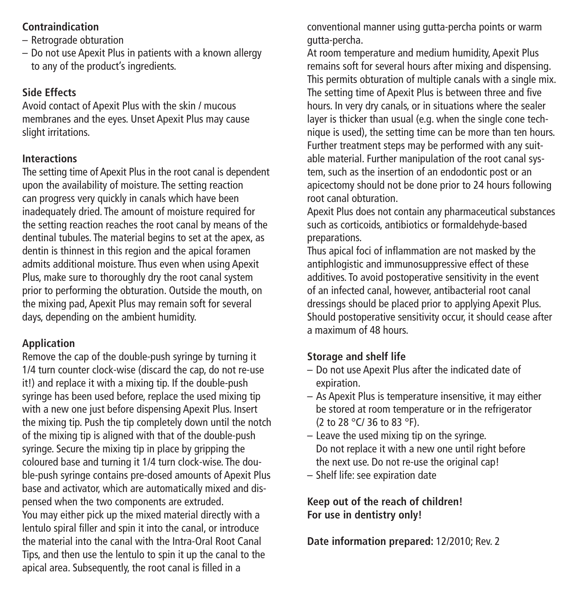## **Contraindication**

- Retrograde obturation
- Do not use Apexit Plus in patients with a known allergy to any of the product's ingredients.

## **Side Effects**

Avoid contact of Apexit Plus with the skin / mucous membranes and the eyes. Unset Apexit Plus may cause slight irritations.

## **Interactions**

The setting time of Apexit Plus in the root canal is dependent upon the availability of moisture. The setting reaction can progress very quickly in canals which have been inadequately dried. The amount of moisture required for the setting reaction reaches the root canal by means of the dentinal tubules. The material begins to set at the apex, as dentin is thinnest in this region and the apical foramen admits additional moisture. Thus even when using Apexit Plus, make sure to thoroughly dry the root canal system prior to performing the obturation. Outside the mouth, on the mixing pad, Apexit Plus may remain soft for several days, depending on the ambient humidity.

## **Application**

Remove the cap of the double-push syringe by turning it 1/4 turn counter clock-wise (discard the cap, do not re-use it!) and replace it with a mixing tip. If the double-push syringe has been used before, replace the used mixing tip with a new one just before dispensing Apexit Plus. Insert the mixing tip. Push the tip completely down until the notch of the mixing tip is aligned with that of the double-push syringe. Secure the mixing tip in place by gripping the coloured base and turning it 1/4 turn clock-wise. The double-push syringe contains pre-dosed amounts of Apexit Plus base and activator, which are automatically mixed and dispensed when the two components are extruded. You may either pick up the mixed material directly with a lentulo spiral filler and spin it into the canal, or introduce the material into the canal with the Intra-Oral Root Canal Tips, and then use the lentulo to spin it up the canal to the apical area. Subsequently, the root canal is filled in a

conventional manner using gutta-percha points or warm gutta-percha.

At room temperature and medium humidity, Apexit Plus remains soft for several hours after mixing and dispensing. This permits obturation of multiple canals with a single mix. The setting time of Apexit Plus is between three and five hours. In very dry canals, or in situations where the sealer layer is thicker than usual (e.g. when the single cone technique is used), the setting time can be more than ten hours. Further treatment steps may be performed with any suitable material. Further manipulation of the root canal system, such as the insertion of an endodontic post or an apicectomy should not be done prior to 24 hours following root canal obturation.

Apexit Plus does not contain any pharmaceutical substances such as corticoids, antibiotics or formaldehyde-based preparations.

Thus apical foci of inflammation are not masked by the antiphlogistic and immunosuppressive effect of these additives. To avoid postoperative sensitivity in the event of an infected canal, however, antibacterial root canal dressings should be placed prior to applying Apexit Plus. Should postoperative sensitivity occur, it should cease after a maximum of 48 hours.

## **Storage and shelf life**

- Do not use Apexit Plus after the indicated date of expiration.
- As Apexit Plus is temperature insensitive, it may either be stored at room temperature or in the refrigerator (2 to 28 °C/ 36 to 83 °F).
- Leave the used mixing tip on the syringe. Do not replace it with a new one until right before the next use. Do not re-use the original cap!
- Shelf life: see expiration date

**Keep out of the reach of children! For use in dentistry only!**

**Date information prepared:** 12/2010; Rev. 2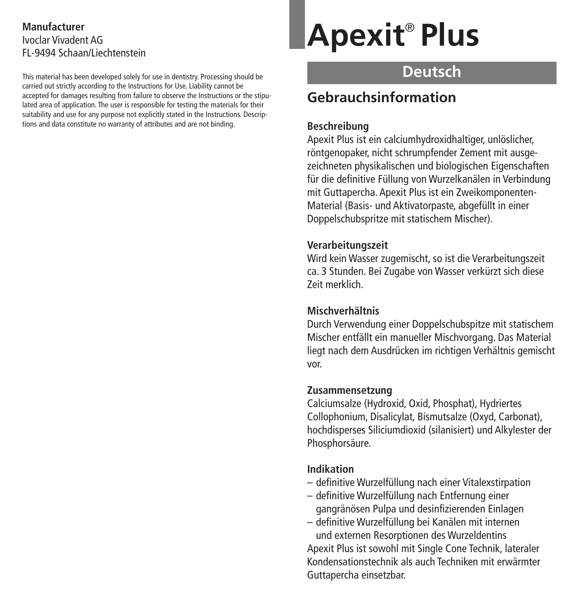## **Manufacturer** Ivoclar Vivadent AG FL-9494 Schaan/Liechtenstein

This material has been developed solely for use in dentistry. Processing should be carried out strictly according to the Instructions for Use. Liability cannot be accepted for damages resulting from failure to observe the Instructions or the stipulated area of application. The user is responsible for testing the materials for their suitability and use for any purpose not explicitly stated in the Instructions. Descriptions and data constitute no warranty of attributes and are not binding.

# **Apexit** ® **Plus**

## **Deutsch**

## **Gebrauchsinformation**

## **Beschreibung**

Apexit Plus ist ein calciumhydroxidhaltiger, unlöslicher, röntgenopaker, nicht schrumpfender Zement mit ausgezeichneten physikalischen und biologischen Eigenschaften für die definitive Füllung von Wurzelkanälen in Verbindung mit Guttapercha. Apexit Plus ist ein Zweikomponenten-Material (Basis- und Aktivatorpaste, abgefüllt in einer Doppelschubspritze mit statischem Mischer).

## **Verarbeitungszeit**

Wird kein Wasser zugemischt, so ist die Verarbeitungszeit ca. 3 Stunden. Bei Zugabe von Wasser verkürzt sich diese Zeit merklich.

## **Mischverhältnis**

Durch Verwendung einer Doppelschubspitze mit statischem Mischer entfällt ein manueller Mischvorgang. Das Material liegt nach dem Ausdrücken im richtigen Verhältnis gemischt vor.

## **Zusammensetzung**

Calciumsalze (Hydroxid, Oxid, Phosphat), Hydriertes Collophonium, Disalicylat, Bismutsalze (Oxyd, Carbonat), hochdisperses Siliciumdioxid (silanisiert) und Alkylester der Phosphorsäure.

## **Indikation**

- definitive Wurzelfüllung nach einer Vitalexstirpation
- definitive Wurzelfüllung nach Entfernung einer gangränösen Pulpa und desinfizierenden Einlagen
- definitive Wurzelfüllung bei Kanälen mit internen und externen Resorptionen des Wurzeldentins

Apexit Plus ist sowohl mit Single Cone Technik, lateraler Kondensationstechnik als auch Techniken mit erwärmter Guttapercha einsetzbar.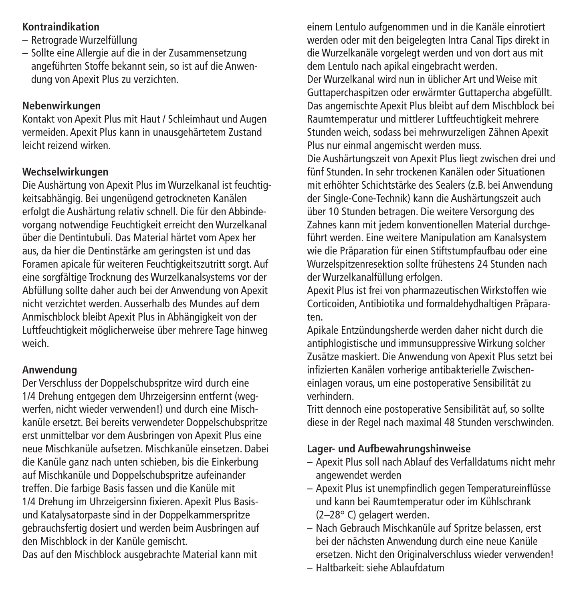## **Kontraindikation**

- Retrograde Wurzelfüllung
- Sollte eine Allergie auf die in der Zusammensetzung angeführten Stoffe bekannt sein, so ist auf die Anwendung von Apexit Plus zu verzichten.

## **Nebenwirkungen**

Kontakt von Apexit Plus mit Haut / Schleimhaut und Augen vermeiden. Apexit Plus kann in unausgehärtetem Zustand leicht reizend wirken.

## **Wechselwirkungen**

Die Aushärtung von Apexit Plus im Wurzelkanal ist feuchtigkeitsabhängig. Bei ungenügend getrockneten Kanälen erfolgt die Aushärtung relativ schnell. Die für den Abbindevorgang notwendige Feuchtigkeit erreicht den Wurzelkanal über die Dentintubuli. Das Material härtet vom Apex her aus, da hier die Dentinstärke am geringsten ist und das Foramen apicale für weiteren Feuchtigkeitszutritt sorgt. Auf eine sorgfältige Trocknung des Wurzelkanalsystems vor der Abfüllung sollte daher auch bei der Anwendung von Apexit nicht verzichtet werden. Ausserhalb des Mundes auf dem Anmischblock bleibt Apexit Plus in Abhängigkeit von der Luftfeuchtigkeit möglicherweise über mehrere Tage hinweg weich.

## **Anwendung**

Der Verschluss der Doppelschubspritze wird durch eine 1/4 Drehung entgegen dem Uhrzeigersinn entfernt (wegwerfen, nicht wieder verwenden!) und durch eine Mischkanüle ersetzt. Bei bereits verwendeter Doppelschubspritze erst unmittelbar vor dem Ausbringen von Apexit Plus eine neue Mischkanüle aufsetzen. Mischkanüle einsetzen. Dabei die Kanüle ganz nach unten schieben, bis die Einkerbung auf Mischkanüle und Doppelschubspritze aufeinander treffen. Die farbige Basis fassen und die Kanüle mit 1/4 Drehung im Uhrzeigersinn fixieren. Apexit Plus Basisund Katalysatorpaste sind in der Doppelkammerspritze gebrauchsfertig dosiert und werden beim Ausbringen auf den Mischblock in der Kanüle gemischt. Das auf den Mischblock ausgebrachte Material kann mit

einem Lentulo aufgenommen und in die Kanäle einrotiert werden oder mit den beigelegten Intra Canal Tips direkt in die Wurzelkanäle vorgelegt werden und von dort aus mit dem Lentulo nach apikal eingebracht werden.

Der Wurzelkanal wird nun in üblicher Art und Weise mit Guttaperchaspitzen oder erwärmter Guttapercha abgefüllt. Das angemischte Apexit Plus bleibt auf dem Mischblock bei Raumtemperatur und mittlerer Luftfeuchtigkeit mehrere Stunden weich, sodass bei mehrwurzeligen Zähnen Apexit Plus nur einmal angemischt werden muss.

Die Aushärtungszeit von Apexit Plus liegt zwischen drei und fünf Stunden. In sehr trockenen Kanälen oder Situationen mit erhöhter Schichtstärke des Sealers (z.B. bei Anwendung der Single-Cone-Technik) kann die Aushärtungszeit auch über 10 Stunden betragen. Die weitere Versorgung des Zahnes kann mit jedem konventionellen Material durchgeführt werden. Eine weitere Manipulation am Kanalsystem wie die Präparation für einen Stiftstumpfaufbau oder eine Wurzelspitzenresektion sollte frühestens 24 Stunden nach der Wurzelkanalfüllung erfolgen.

Apexit Plus ist frei von pharmazeutischen Wirkstoffen wie Corticoiden, Antibiotika und formaldehydhaltigen Präparaten.

Apikale Entzündungsherde werden daher nicht durch die antiphlogistische und immunsuppressive Wirkung solcher Zusätze maskiert. Die Anwendung von Apexit Plus setzt bei infizierten Kanälen vorherige antibakterielle Zwischeneinlagen voraus, um eine postoperative Sensibilität zu verhindern.

Tritt dennoch eine postoperative Sensibilität auf, so sollte diese in der Regel nach maximal 48 Stunden verschwinden.

## **Lager- und Aufbewahrungshinweise**

- Apexit Plus soll nach Ablauf des Verfalldatums nicht mehr angewendet werden
- Apexit Plus ist unempfindlich gegen Temperatureinflüsse und kann bei Raumtemperatur oder im Kühlschrank (2–28° C) gelagert werden.
- Nach Gebrauch Mischkanüle auf Spritze belassen, erst bei der nächsten Anwendung durch eine neue Kanüle ersetzen. Nicht den Originalverschluss wieder verwenden!
- Haltbarkeit: siehe Ablaufdatum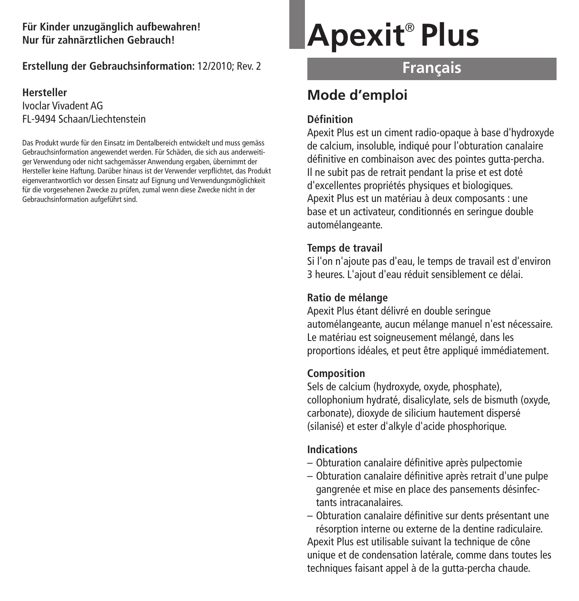## **Für Kinder unzugänglich aufbewahren! Nur für zahnärztlichen Gebrauch!**

## **Erstellung der Gebrauchsinformation:** 12/2010; Rev. 2

## **Hersteller** Ivoclar Vivadent AG FL-9494 Schaan/Liechtenstein

Das Produkt wurde für den Einsatz im Dentalbereich entwickelt und muss gemäss Gebrauchsinformation angewendet werden. Für Schäden, die sich aus anderweitiger Verwendung oder nicht sachgemässer Anwendung ergaben, übernimmt der Hersteller keine Haftung. Darüber hinaus ist der Verwender verpflichtet, das Produkt eigenverantwortlich vor dessen Einsatz auf Eignung und Verwendungsmöglichkeit für die vorgesehenen Zwecke zu prüfen, zumal wenn diese Zwecke nicht in der Gebrauchsinformation aufgeführt sind.

# **Apexit** ® **Plus**

## **Français**

## **Mode d'emploi**

## **Définition**

Apexit Plus est un ciment radio-opaque à base d'hydroxyde de calcium, insoluble, indiqué pour l'obturation canalaire définitive en combinaison avec des pointes gutta-percha. Il ne subit pas de retrait pendant la prise et est doté d'excellentes propriétés physiques et biologiques. Apexit Plus est un matériau à deux composants : une base et un activateur, conditionnés en seringue double automélangeante.

## **Temps de travail**

Si l'on n'ajoute pas d'eau, le temps de travail est d'environ 3 heures. L'ajout d'eau réduit sensiblement ce délai.

## **Ratio de mélange**

Apexit Plus étant délivré en double seringue automélangeante, aucun mélange manuel n'est nécessaire. Le matériau est soigneusement mélangé, dans les proportions idéales, et peut être appliqué immédiatement.

## **Composition**

Sels de calcium (hydroxyde, oxyde, phosphate), collophonium hydraté, disalicylate, sels de bismuth (oxyde, carbonate), dioxyde de silicium hautement dispersé (silanisé) et ester d'alkyle d'acide phosphorique.

## **Indications**

- Obturation canalaire définitive après pulpectomie
- Obturation canalaire définitive après retrait d'une pulpe gangrenée et mise en place des pansements désinfectants intracanalaires.
- Obturation canalaire définitive sur dents présentant une résorption interne ou externe de la dentine radiculaire. Apexit Plus est utilisable suivant la technique de cône unique et de condensation latérale, comme dans toutes les

techniques faisant appel à de la gutta-percha chaude.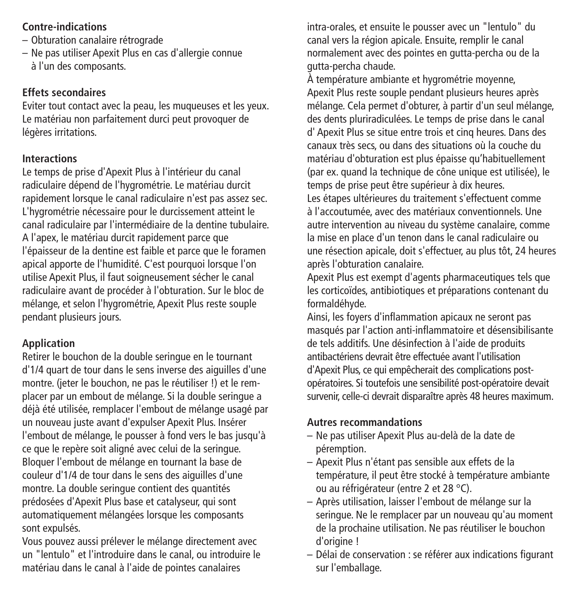## **Contre-indications**

- Obturation canalaire rétrograde
- Ne pas utiliser Apexit Plus en cas d'allergie connue à l'un des composants.

## **Effets secondaires**

Eviter tout contact avec la peau, les muqueuses et les yeux. Le matériau non parfaitement durci peut provoquer de légères irritations.

## **Interactions**

Le temps de prise d'Apexit Plus à l'intérieur du canal radiculaire dépend de l'hygrométrie. Le matériau durcit rapidement lorsque le canal radiculaire n'est pas assez sec. L'hygrométrie nécessaire pour le durcissement atteint le canal radiculaire par l'intermédiaire de la dentine tubulaire. A l'apex, le matériau durcit rapidement parce que l'épaisseur de la dentine est faible et parce que le foramen apical apporte de l'humidité. C'est pourquoi lorsque l'on utilise Apexit Plus, il faut soigneusement sécher le canal radiculaire avant de procéder à l'obturation. Sur le bloc de mélange, et selon l'hygrométrie, Apexit Plus reste souple pendant plusieurs jours.

## **Application**

Retirer le bouchon de la double seringue en le tournant d'1/4 quart de tour dans le sens inverse des aiguilles d'une montre. (jeter le bouchon, ne pas le réutiliser !) et le remplacer par un embout de mélange. Si la double seringue a déjà été utilisée, remplacer l'embout de mélange usagé par un nouveau juste avant d'expulser Apexit Plus. Insérer l'embout de mélange, le pousser à fond vers le bas jusqu'à ce que le repère soit aligné avec celui de la seringue. Bloquer l'embout de mélange en tournant la base de couleur d'1/4 de tour dans le sens des aiguilles d'une montre. La double seringue contient des quantités prédosées d'Apexit Plus base et catalyseur, qui sont automatiquement mélangées lorsque les composants sont expulsés.

Vous pouvez aussi prélever le mélange directement avec un "lentulo" et l'introduire dans le canal, ou introduire le matériau dans le canal à l'aide de pointes canalaires

intra-orales, et ensuite le pousser avec un "lentulo" du canal vers la région apicale. Ensuite, remplir le canal normalement avec des pointes en gutta-percha ou de la gutta-percha chaude.

À température ambiante et hygrométrie moyenne, Apexit Plus reste souple pendant plusieurs heures après mélange. Cela permet d'obturer, à partir d'un seul mélange, des dents pluriradiculées. Le temps de prise dans le canal d' Apexit Plus se situe entre trois et cinq heures. Dans des canaux très secs, ou dans des situations où la couche du matériau d'obturation est plus épaisse qu'habituellement (par ex. quand la technique de cône unique est utilisée), le temps de prise peut être supérieur à dix heures. Les étapes ultérieures du traitement s'effectuent comme à l'accoutumée, avec des matériaux conventionnels. Une autre intervention au niveau du système canalaire, comme la mise en place d'un tenon dans le canal radiculaire ou une résection apicale, doit s'effectuer, au plus tôt, 24 heures après l'obturation canalaire.

Apexit Plus est exempt d'agents pharmaceutiques tels que les corticoïdes, antibiotiques et préparations contenant du formaldéhyde.

Ainsi, les foyers d'inflammation apicaux ne seront pas masqués par l'action anti-inflammatoire et désensibilisante de tels additifs. Une désinfection à l'aide de produits antibactériens devrait être effectuée avant l'utilisation d'Apexit Plus, ce qui empêcherait des complications postopératoires. Si toutefois une sensibilité post-opératoire devait survenir, celle-ci devrait disparaître après 48 heures maximum.

## **Autres recommandations**

- Ne pas utiliser Apexit Plus au-delà de la date de péremption.
- Apexit Plus n'étant pas sensible aux effets de la température, il peut être stocké à température ambiante ou au réfrigérateur (entre 2 et 28 °C).
- Après utilisation, laisser l'embout de mélange sur la seringue. Ne le remplacer par un nouveau qu'au moment de la prochaine utilisation. Ne pas réutiliser le bouchon d'origine !
- Délai de conservation : se référer aux indications figurant sur l'emballage.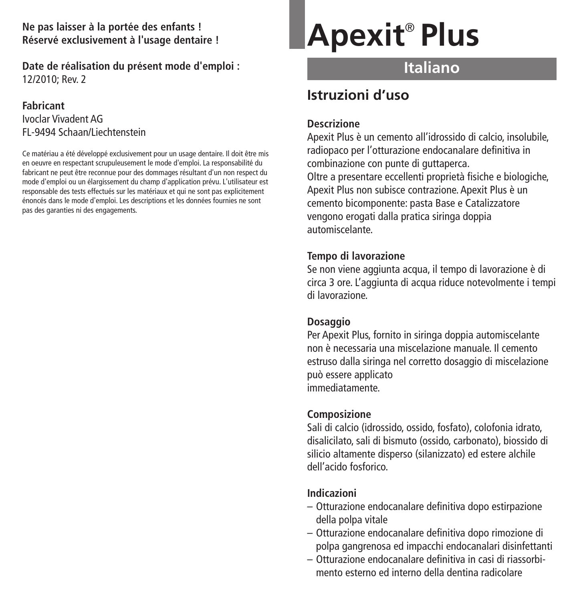**Ne pas laisser à la portée des enfants ! Réservé exclusivement à l'usage dentaire !**

**Date de réalisation du présent mode d'emploi :** 12/2010; Rev. 2

#### **Fabricant**

Ivoclar Vivadent AG FL-9494 Schaan/Liechtenstein

Ce matériau a été développé exclusivement pour un usage dentaire. Il doit être mis en oeuvre en respectant scrupuleusement le mode d'emploi. La responsabilité du fabricant ne peut être reconnue pour des dommages résultant d'un non respect du mode d'emploi ou un élargissement du champ d'application prévu. L'utilisateur est responsable des tests effectués sur les matériaux et qui ne sont pas explicitement énoncés dans le mode d'emploi. Les descriptions et les données fournies ne sont pas des garanties ni des engagements.

# **Apexit** ® **Plus**

## **Italiano**

## **Istruzioni d'uso**

## **Descrizione**

Apexit Plus è un cemento all'idrossido di calcio, insolubile, radiopaco per l'otturazione endocanalare definitiva in combinazione con punte di guttaperca.

Oltre a presentare eccellenti proprietà fisiche e biologiche, Apexit Plus non subisce contrazione. Apexit Plus è un cemento bicomponente: pasta Base e Catalizzatore vengono erogati dalla pratica siringa doppia automiscelante.

## **Tempo di lavorazione**

Se non viene aggiunta acqua, il tempo di lavorazione è di circa 3 ore. L'aggiunta di acqua riduce notevolmente i tempi di lavorazione.

## **Dosaggio**

Per Apexit Plus, fornito in siringa doppia automiscelante non è necessaria una miscelazione manuale. Il cemento estruso dalla siringa nel corretto dosaggio di miscelazione può essere applicato immediatamente.

## **Composizione**

Sali di calcio (idrossido, ossido, fosfato), colofonia idrato, disalicilato, sali di bismuto (ossido, carbonato), biossido di silicio altamente disperso (silanizzato) ed estere alchile dell'acido fosforico.

## **Indicazioni**

- Otturazione endocanalare definitiva dopo estirpazione della polpa vitale
- Otturazione endocanalare definitiva dopo rimozione di polpa gangrenosa ed impacchi endocanalari disinfettanti
- Otturazione endocanalare definitiva in casi di riassorbimento esterno ed interno della dentina radicolare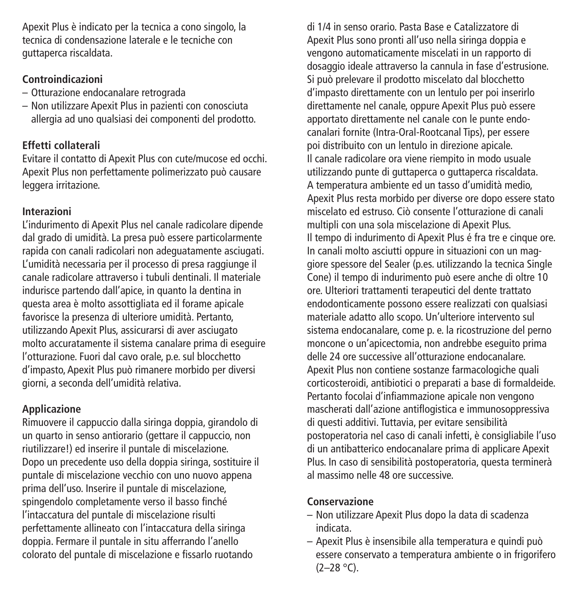Apexit Plus è indicato per la tecnica a cono singolo, la tecnica di condensazione laterale e le tecniche con guttaperca riscaldata.

## **Controindicazioni**

- Otturazione endocanalare retrograda
- Non utilizzare Apexit Plus in pazienti con conosciuta allergia ad uno qualsiasi dei componenti del prodotto.

## **Effetti collaterali**

Evitare il contatto di Apexit Plus con cute/mucose ed occhi. Apexit Plus non perfettamente polimerizzato può causare leggera irritazione.

## **Interazioni**

L'indurimento di Apexit Plus nel canale radicolare dipende dal grado di umidità. La presa può essere particolarmente rapida con canali radicolari non adeguatamente asciugati. L'umidità necessaria per il processo di presa raggiunge il canale radicolare attraverso i tubuli dentinali. Il materiale indurisce partendo dall'apice, in quanto la dentina in questa area è molto assottigliata ed il forame apicale favorisce la presenza di ulteriore umidità. Pertanto, utilizzando Apexit Plus, assicurarsi di aver asciugato molto accuratamente il sistema canalare prima di eseguire l'otturazione. Fuori dal cavo orale, p.e. sul blocchetto d'impasto, Apexit Plus può rimanere morbido per diversi giorni, a seconda dell'umidità relativa.

## **Applicazione**

Rimuovere il cappuccio dalla siringa doppia, girandolo di un quarto in senso antiorario (gettare il cappuccio, non riutilizzare!) ed inserire il puntale di miscelazione. Dopo un precedente uso della doppia siringa, sostituire il puntale di miscelazione vecchio con uno nuovo appena prima dell'uso. Inserire il puntale di miscelazione, spingendolo completamente verso il basso finché l'intaccatura del puntale di miscelazione risulti perfettamente allineato con l'intaccatura della siringa doppia. Fermare il puntale in situ afferrando l'anello colorato del puntale di miscelazione e fissarlo ruotando

di 1/4 in senso orario. Pasta Base e Catalizzatore di Apexit Plus sono pronti all'uso nella siringa doppia e vengono automaticamente miscelati in un rapporto di dosaggio ideale attraverso la cannula in fase d'estrusione. Si può prelevare il prodotto miscelato dal blocchetto d'impasto direttamente con un lentulo per poi inserirlo direttamente nel canale, oppure Apexit Plus può essere apportato direttamente nel canale con le punte endocanalari fornite (Intra-Oral-Rootcanal Tips), per essere poi distribuito con un lentulo in direzione apicale. Il canale radicolare ora viene riempito in modo usuale utilizzando punte di guttaperca o guttaperca riscaldata. A temperatura ambiente ed un tasso d'umidità medio, Apexit Plus resta morbido per diverse ore dopo essere stato miscelato ed estruso. Ciò consente l'otturazione di canali multipli con una sola miscelazione di Apexit Plus. Il tempo di indurimento di Apexit Plus é fra tre e cinque ore. In canali molto asciutti oppure in situazioni con un maggiore spessore del Sealer (p.es. utilizzando la tecnica Single Cone) il tempo di indurimento può esere anche di oltre 10 ore. Ulteriori trattamenti terapeutici del dente trattato endodonticamente possono essere realizzati con qualsiasi materiale adatto allo scopo. Un'ulteriore intervento sul sistema endocanalare, come p. e. la ricostruzione del perno moncone o un'apicectomia, non andrebbe eseguito prima delle 24 ore successive all'otturazione endocanalare. Apexit Plus non contiene sostanze farmacologiche quali corticosteroidi, antibiotici o preparati a base di formaldeide. Pertanto focolai d'infiammazione apicale non vengono mascherati dall'azione antiflogistica e immunosoppressiva di questi additivi. Tuttavia, per evitare sensibilità postoperatoria nel caso di canali infetti, è consigliabile l'uso di un antibatterico endocanalare prima di applicare Apexit Plus. In caso di sensibilità postoperatoria, questa terminerà al massimo nelle 48 ore successive.

## **Conservazione**

- Non utilizzare Apexit Plus dopo la data di scadenza indicata.
- Apexit Plus è insensibile alla temperatura e quindi può essere conservato a temperatura ambiente o in frigorifero  $(2-28 °C)$ .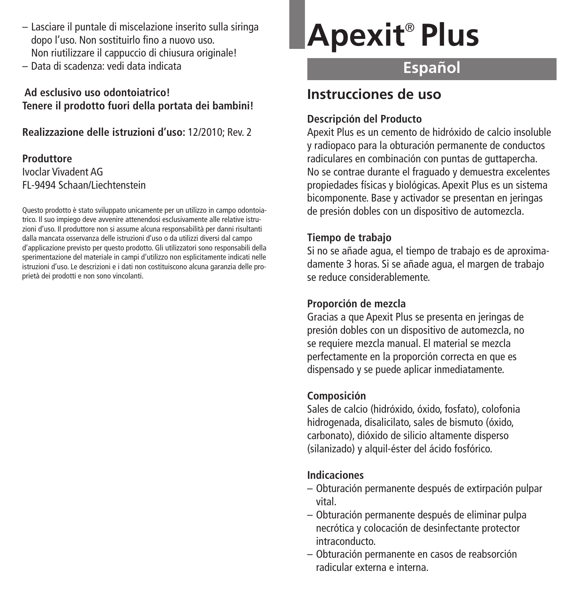- Lasciare il puntale di miscelazione inserito sulla siringa dopo l'uso. Non sostituirlo fino a nuovo uso. Non riutilizzare il cappuccio di chiusura originale!
- Data di scadenza: vedi data indicata

## **Ad esclusivo uso odontoiatrico! Tenere il prodotto fuori della portata dei bambini!**

**Realizzazione delle istruzioni d'uso:** 12/2010; Rev. 2

## **Produttore** Ivoclar Vivadent AG FL-9494 Schaan/Liechtenstein

Questo prodotto è stato sviluppato unicamente per un utilizzo in campo odontoiatrico. Il suo impiego deve avvenire attenendosi esclusivamente alle relative istruzioni d'uso. Il produttore non si assume alcuna responsabilità per danni risultanti dalla mancata osservanza delle istruzioni d'uso o da utilizzi diversi dal campo d'applicazione previsto per questo prodotto. Gli utilizzatori sono responsabili della sperimentazione del materiale in campi d'utilizzo non esplicitamente indicati nelle istruzioni d'uso. Le descrizioni e i dati non costituiscono alcuna garanzia delle proprietà dei prodotti e non sono vincolanti.

# **Apexit** ® **Plus**

## **Español**

## **Instrucciones de uso**

## **Descripción del Producto**

Apexit Plus es un cemento de hidróxido de calcio insoluble y radiopaco para la obturación permanente de conductos radiculares en combinación con puntas de guttapercha. No se contrae durante el fraguado y demuestra excelentes propiedades físicas y biológicas. Apexit Plus es un sistema bicomponente. Base y activador se presentan en jeringas de presión dobles con un dispositivo de automezcla.

## **Tiempo de trabajo**

Si no se añade agua, el tiempo de trabajo es de aproximadamente 3 horas. Si se añade agua, el margen de trabajo se reduce considerablemente.

## **Proporción de mezcla**

Gracias a que Apexit Plus se presenta en jeringas de presión dobles con un dispositivo de automezcla, no se requiere mezcla manual. El material se mezcla perfectamente en la proporción correcta en que es dispensado y se puede aplicar inmediatamente.

## **Composición**

Sales de calcio (hidróxido, óxido, fosfato), colofonia hidrogenada, disalicilato, sales de bismuto (óxido, carbonato), dióxido de silicio altamente disperso (silanizado) y alquil-éster del ácido fosfórico.

## **Indicaciones**

- Obturación permanente después de extirpación pulpar vital.
- Obturación permanente después de eliminar pulpa necrótica y colocación de desinfectante protector intraconducto.
- Obturación permanente en casos de reabsorción radicular externa e interna.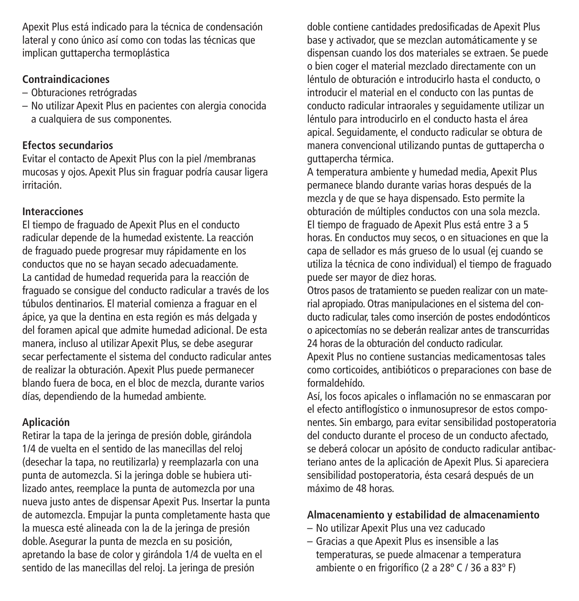Apexit Plus está indicado para la técnica de condensación lateral y cono único así como con todas las técnicas que implican guttapercha termoplástica

## **Contraindicaciones**

- Obturaciones retrógradas
- No utilizar Apexit Plus en pacientes con alergia conocida a cualquiera de sus componentes.

## **Efectos secundarios**

Evitar el contacto de Apexit Plus con la piel /membranas mucosas y ojos. Apexit Plus sin fraguar podría causar ligera irritación.

## **Interacciones**

El tiempo de fraguado de Apexit Plus en el conducto radicular depende de la humedad existente. La reacción de fraguado puede progresar muy rápidamente en los conductos que no se hayan secado adecuadamente. La cantidad de humedad requerida para la reacción de fraguado se consigue del conducto radicular a través de los túbulos dentinarios. El material comienza a fraguar en el ápice, ya que la dentina en esta región es más delgada y del foramen apical que admite humedad adicional. De esta manera, incluso al utilizar Apexit Plus, se debe asegurar secar perfectamente el sistema del conducto radicular antes de realizar la obturación. Apexit Plus puede permanecer blando fuera de boca, en el bloc de mezcla, durante varios días, dependiendo de la humedad ambiente.

## **Aplicación**

Retirar la tapa de la jeringa de presión doble, girándola 1/4 de vuelta en el sentido de las manecillas del reloj (desechar la tapa, no reutilizarla) y reemplazarla con una punta de automezcla. Si la jeringa doble se hubiera utilizado antes, reemplace la punta de automezcla por una nueva justo antes de dispensar Apexit Pus. Insertar la punta de automezcla. Empujar la punta completamente hasta que la muesca esté alineada con la de la jeringa de presión doble. Asegurar la punta de mezcla en su posición, apretando la base de color y girándola 1/4 de vuelta en el sentido de las manecillas del reloj. La jeringa de presión

doble contiene cantidades predosificadas de Apexit Plus base y activador, que se mezclan automáticamente y se dispensan cuando los dos materiales se extraen. Se puede o bien coger el material mezclado directamente con un léntulo de obturación e introducirlo hasta el conducto, o introducir el material en el conducto con las puntas de conducto radicular intraorales y seguidamente utilizar un léntulo para introducirlo en el conducto hasta el área apical. Seguidamente, el conducto radicular se obtura de manera convencional utilizando puntas de guttapercha o guttapercha térmica.

A temperatura ambiente y humedad media, Apexit Plus permanece blando durante varias horas después de la mezcla y de que se haya dispensado. Esto permite la obturación de múltiples conductos con una sola mezcla. El tiempo de fraguado de Apexit Plus está entre 3 a 5 horas. En conductos muy secos, o en situaciones en que la capa de sellador es más grueso de lo usual (ej cuando se utiliza la técnica de cono individual) el tiempo de fraguado puede ser mayor de diez horas.

Otros pasos de tratamiento se pueden realizar con un material apropiado. Otras manipulaciones en el sistema del conducto radicular, tales como inserción de postes endodónticos o apicectomías no se deberán realizar antes de transcurridas 24 horas de la obturación del conducto radicular.

Apexit Plus no contiene sustancias medicamentosas tales como corticoides, antibióticos o preparaciones con base de formaldehído.

Así, los focos apicales o inflamación no se enmascaran por el efecto antiflogístico o inmunosupresor de estos componentes. Sin embargo, para evitar sensibilidad postoperatoria del conducto durante el proceso de un conducto afectado, se deberá colocar un apósito de conducto radicular antibacteriano antes de la aplicación de Apexit Plus. Si apareciera sensibilidad postoperatoria, ésta cesará después de un máximo de 48 horas.

## **Almacenamiento y estabilidad de almacenamiento**

- No utilizar Apexit Plus una vez caducado
- Gracias a que Apexit Plus es insensible a las temperaturas, se puede almacenar a temperatura ambiente o en frigorífico (2 a 28º C / 36 a 83º F)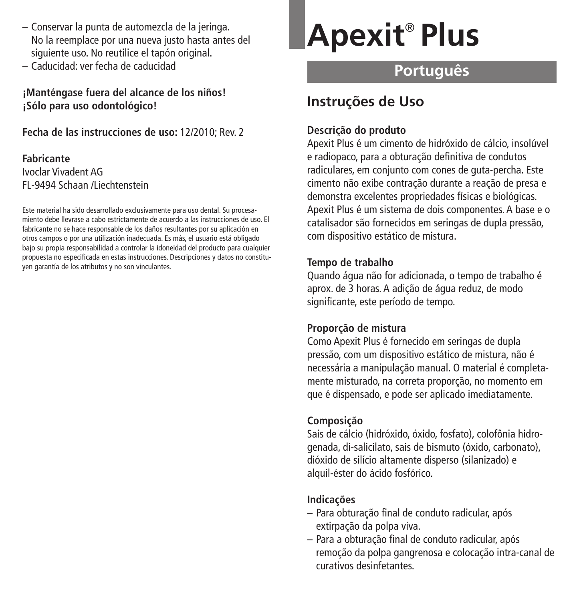- Conservar la punta de automezcla de la jeringa. No la reemplace por una nueva justo hasta antes del siguiente uso. No reutilice el tapón original.
- Caducidad: ver fecha de caducidad

**¡Manténgase fuera del alcance de los niños! ¡Sólo para uso odontológico!**

**Fecha de las instrucciones de uso:** 12/2010; Rev. 2

## **Fabricante** Ivoclar Vivadent AG FL-9494 Schaan /Liechtenstein

Este material ha sido desarrollado exclusivamente para uso dental. Su procesamiento debe llevrase a cabo estrictamente de acuerdo a las instrucciones de uso. El fabricante no se hace responsable de los daños resultantes por su aplicación en otros campos o por una utilización inadecuada. Es más, el usuario está obligado bajo su propia responsabilidad a controlar la idoneidad del producto para cualquier propuesta no especificada en estas instrucciones. Descripciones y datos no constituyen garantía de los atributos y no son vinculantes.

# **Apexit** ® **Plus**

# **Português**

## **Instruções de Uso**

## **Descrição do produto**

Apexit Plus é um cimento de hidróxido de cálcio, insolúvel e radiopaco, para a obturação definitiva de condutos radiculares, em conjunto com cones de guta-percha. Este cimento não exibe contração durante a reação de presa e demonstra excelentes propriedades físicas e biológicas. Apexit Plus é um sistema de dois componentes. A base e o catalisador são fornecidos em seringas de dupla pressão, com dispositivo estático de mistura.

## **Tempo de trabalho**

Quando água não for adicionada, o tempo de trabalho é aprox. de 3 horas. A adição de água reduz, de modo significante, este período de tempo.

## **Proporção de mistura**

Como Apexit Plus é fornecido em seringas de dupla pressão, com um dispositivo estático de mistura, não é necessária a manipulação manual. O material é completamente misturado, na correta proporção, no momento em que é dispensado, e pode ser aplicado imediatamente.

## **Composição**

Sais de cálcio (hidróxido, óxido, fosfato), colofônia hidrogenada, di-salicilato, sais de bismuto (óxido, carbonato), dióxido de silício altamente disperso (silanizado) e alquil-éster do ácido fosfórico.

## **Indicações**

- Para obturação final de conduto radicular, após extirpação da polpa viva.
- Para a obturação final de conduto radicular, após remoção da polpa gangrenosa e colocação intra-canal de curativos desinfetantes.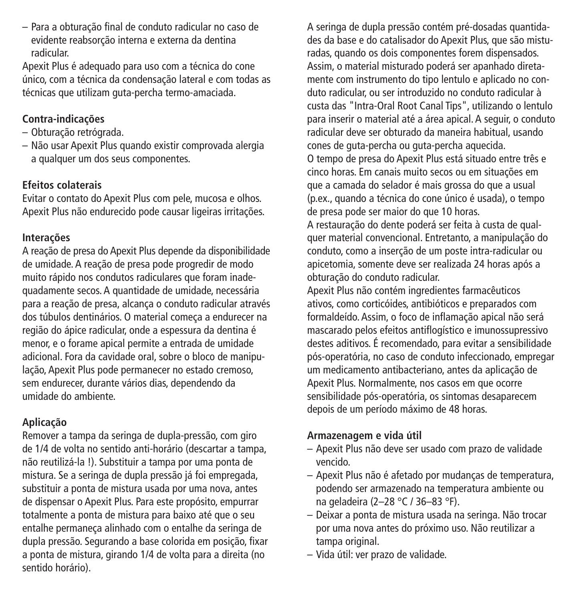– Para a obturação final de conduto radicular no caso de evidente reabsorção interna e externa da dentina radicular.

Apexit Plus é adequado para uso com a técnica do cone único, com a técnica da condensação lateral e com todas as técnicas que utilizam guta-percha termo-amaciada.

## **Contra-indicações**

- Obturação retrógrada.
- Não usar Apexit Plus quando existir comprovada alergia a qualquer um dos seus componentes.

## **Efeitos colaterais**

Evitar o contato do Apexit Plus com pele, mucosa e olhos. Apexit Plus não endurecido pode causar ligeiras irritações.

## **Interações**

A reação de presa do Apexit Plus depende da disponibilidade de umidade. A reação de presa pode progredir de modo muito rápido nos condutos radiculares que foram inadequadamente secos. A quantidade de umidade, necessária para a reação de presa, alcança o conduto radicular através dos túbulos dentinários. O material começa a endurecer na região do ápice radicular, onde a espessura da dentina é menor, e o forame apical permite a entrada de umidade adicional. Fora da cavidade oral, sobre o bloco de manipulação, Apexit Plus pode permanecer no estado cremoso, sem endurecer, durante vários dias, dependendo da umidade do ambiente.

## **Aplicação**

Remover a tampa da seringa de dupla-pressão, com giro de 1/4 de volta no sentido anti-horário (descartar a tampa, não reutilizá-la !). Substituir a tampa por uma ponta de mistura. Se a seringa de dupla pressão já foi empregada, substituir a ponta de mistura usada por uma nova, antes de dispensar o Apexit Plus. Para este propósito, empurrar totalmente a ponta de mistura para baixo até que o seu entalhe permaneça alinhado com o entalhe da seringa de dupla pressão. Segurando a base colorida em posição, fixar a ponta de mistura, girando 1/4 de volta para a direita (no sentido horário).

A seringa de dupla pressão contém pré-dosadas quantidades da base e do catalisador do Apexit Plus, que são misturadas, quando os dois componentes forem dispensados. Assim, o material misturado poderá ser apanhado diretamente com instrumento do tipo lentulo e aplicado no conduto radicular, ou ser introduzido no conduto radicular à custa das "Intra-Oral Root Canal Tips", utilizando o lentulo para inserir o material até a área apical. A seguir, o conduto radicular deve ser obturado da maneira habitual, usando cones de guta-percha ou guta-percha aquecida. O tempo de presa do Apexit Plus está situado entre três e cinco horas. Em canais muito secos ou em situações em que a camada do selador é mais grossa do que a usual (p.ex., quando a técnica do cone único é usada), o tempo de presa pode ser maior do que 10 horas. A restauração do dente poderá ser feita à custa de qualquer material convencional. Entretanto, a manipulação do conduto, como a inserção de um poste intra-radicular ou apicetomia, somente deve ser realizada 24 horas após a obturação do conduto radicular.

Apexit Plus não contém ingredientes farmacêuticos ativos, como corticóides, antibióticos e preparados com formaldeído. Assim, o foco de inflamação apical não será mascarado pelos efeitos antiflogístico e imunossupressivo destes aditivos. É recomendado, para evitar a sensibilidade pós-operatória, no caso de conduto infeccionado, empregar um medicamento antibacteriano, antes da aplicação de Apexit Plus. Normalmente, nos casos em que ocorre sensibilidade pós-operatória, os sintomas desaparecem depois de um período máximo de 48 horas.

## **Armazenagem e vida útil**

- Apexit Plus não deve ser usado com prazo de validade vencido.
- Apexit Plus não é afetado por mudanças de temperatura, podendo ser armazenado na temperatura ambiente ou na geladeira (2–28 °C / 36–83 °F).
- Deixar a ponta de mistura usada na seringa. Não trocar por uma nova antes do próximo uso. Não reutilizar a tampa original.
- Vida útil: ver prazo de validade.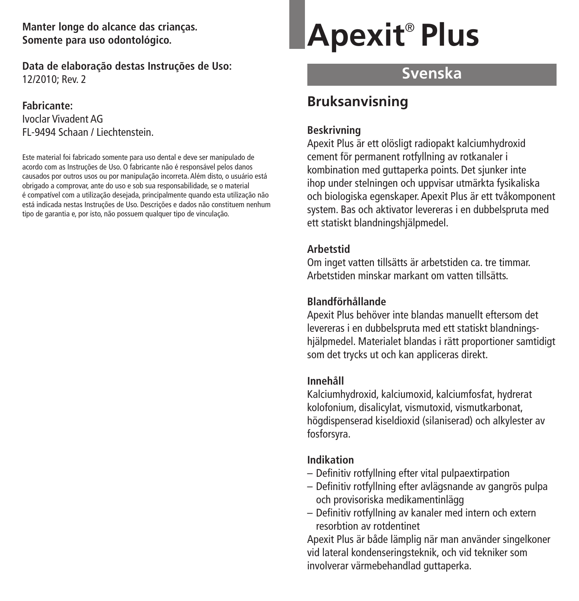**Manter longe do alcance das crianças. Somente para uso odontológico.**

**Data de elaboração destas Instruções de Uso:** 12/2010; Rev. 2

#### **Fabricante:**

Ivoclar Vivadent AG FL-9494 Schaan / Liechtenstein.

Este material foi fabricado somente para uso dental e deve ser manipulado de acordo com as Instruções de Uso. O fabricante não é responsável pelos danos causados por outros usos ou por manipulação incorreta. Além disto, o usuário está obrigado a comprovar, ante do uso e sob sua responsabilidade, se o material é compatível com a utilização desejada, principalmente quando esta utilização não está indicada nestas Instruções de Uso. Descrições e dados não constituem nenhum tipo de garantia e, por isto, não possuem qualquer tipo de vinculação.

# **Apexit** ® **Plus**

## **Svenska**

## **Bruksanvisning**

## **Beskrivning**

Apexit Plus är ett olösligt radiopakt kalciumhydroxid cement för permanent rotfyllning av rotkanaler i kombination med guttaperka points. Det sjunker inte ihop under stelningen och uppvisar utmärkta fysikaliska och biologiska egenskaper. Apexit Plus är ett tvåkomponent system. Bas och aktivator levereras i en dubbelspruta med ett statiskt blandningshjälpmedel.

## **Arbetstid**

Om inget vatten tillsätts är arbetstiden ca. tre timmar. Arbetstiden minskar markant om vatten tillsätts.

### **Blandförhållande**

Apexit Plus behöver inte blandas manuellt eftersom det levereras i en dubbelspruta med ett statiskt blandningshjälpmedel. Materialet blandas i rätt proportioner samtidigt som det trycks ut och kan appliceras direkt.

## **Innehåll**

Kalciumhydroxid, kalciumoxid, kalciumfosfat, hydrerat kolofonium, disalicylat, vismutoxid, vismutkarbonat, högdispenserad kiseldioxid (silaniserad) och alkylester av fosforsyra.

## **Indikation**

- Definitiv rotfyllning efter vital pulpaextirpation
- Definitiv rotfyllning efter avlägsnande av gangrös pulpa och provisoriska medikamentinlägg
- Definitiv rotfyllning av kanaler med intern och extern resorbtion av rotdentinet

Apexit Plus är både lämplig när man använder singelkoner vid lateral kondenseringsteknik, och vid tekniker som involverar värmebehandlad guttaperka.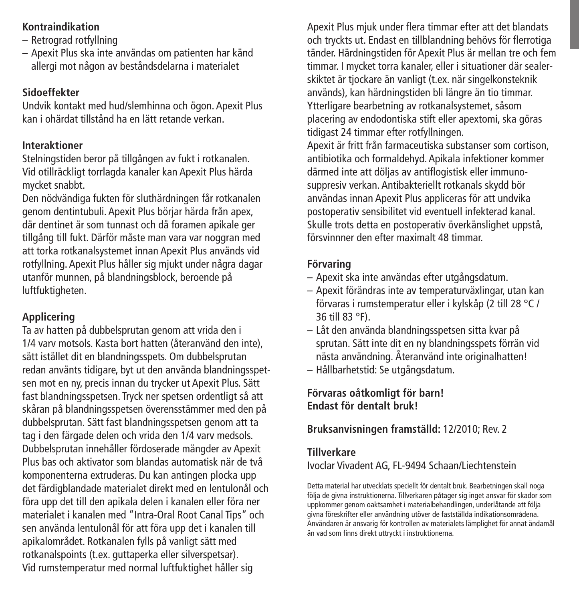## **Kontraindikation**

- Retrograd rotfyllning
- Apexit Plus ska inte användas om patienten har känd allergi mot någon av beståndsdelarna i materialet

## **Sidoeffekter**

Undvik kontakt med hud/slemhinna och ögon. Apexit Plus kan i ohärdat tillstånd ha en lätt retande verkan.

## **Interaktioner**

Stelningstiden beror på tillgången av fukt i rotkanalen. Vid otillräckligt torrlagda kanaler kan Apexit Plus härda mycket snabbt.

Den nödvändiga fukten för sluthärdningen får rotkanalen genom dentintubuli. Apexit Plus börjar härda från apex, där dentinet är som tunnast och då foramen apikale ger tillgång till fukt. Därför måste man vara var noggran med att torka rotkanalsystemet innan Apexit Plus används vid rotfyllning. Apexit Plus håller sig mjukt under några dagar utanför munnen, på blandningsblock, beroende på luftfuktigheten.

## **Applicering**

Ta av hatten på dubbelsprutan genom att vrida den i 1/4 varv motsols. Kasta bort hatten (återanvänd den inte), sätt istället dit en blandningsspets. Om dubbelsprutan redan använts tidigare, byt ut den använda blandningsspetsen mot en ny, precis innan du trycker ut Apexit Plus. Sätt fast blandningsspetsen. Tryck ner spetsen ordentligt så att skåran på blandningsspetsen överensstämmer med den på dubbelsprutan. Sätt fast blandningsspetsen genom att ta tag i den färgade delen och vrida den 1/4 varv medsols. Dubbelsprutan innehåller fördoserade mängder av Apexit Plus bas och aktivator som blandas automatisk när de två komponenterna extruderas. Du kan antingen plocka upp det färdigblandade materialet direkt med en lentulonål och föra upp det till den apikala delen i kanalen eller föra ner materialet i kanalen med "Intra-Oral Root Canal Tips" och sen använda lentulonål för att föra upp det i kanalen till apikalområdet. Rotkanalen fylls på vanligt sätt med rotkanalspoints (t.ex. guttaperka eller silverspetsar). Vid rumstemperatur med normal luftfuktighet håller sig

Apexit Plus mjuk under flera timmar efter att det blandats och tryckts ut. Endast en tillblandning behövs för flerrotiga tänder. Härdningstiden för Apexit Plus är mellan tre och fem timmar. I mycket torra kanaler, eller i situationer där sealerskiktet är tjockare än vanligt (t.ex. när singelkonsteknik används), kan härdningstiden bli längre än tio timmar. Ytterligare bearbetning av rotkanalsystemet, såsom placering av endodontiska stift eller apextomi, ska göras tidigast 24 timmar efter rotfyllningen. Apexit är fritt från farmaceutiska substanser som cortison,

antibiotika och formaldehyd. Apikala infektioner kommer därmed inte att döljas av antiflogistisk eller immunosuppresiv verkan. Antibakteriellt rotkanals skydd bör användas innan Apexit Plus appliceras för att undvika postoperativ sensibilitet vid eventuell infekterad kanal. Skulle trots detta en postoperativ överkänslighet uppstå, försvinnner den efter maximalt 48 timmar.

## **Förvaring**

- Apexit ska inte användas efter utgångsdatum.
- Apexit förändras inte av temperaturväxlingar, utan kan förvaras i rumstemperatur eller i kylskåp (2 till 28 °C / 36 till 83 °F).
- Låt den använda blandningsspetsen sitta kvar på sprutan. Sätt inte dit en ny blandningsspets förrän vid nästa användning. Återanvänd inte originalhatten!
- Hållbarhetstid: Se utgångsdatum.

**Förvaras oåtkomligt för barn! Endast för dentalt bruk!**

## **Bruksanvisningen framställd:** 12/2010; Rev. 2

## **Tillverkare**

Ivoclar Vivadent AG, FL-9494 Schaan/Liechtenstein

Detta material har utvecklats speciellt för dentalt bruk. Bearbetningen skall noga följa de givna instruktionerna. Tillverkaren påtager sig inget ansvar för skador som uppkommer genom oaktsamhet i materialbehandlingen, underlåtande att följa givna föreskrifter eller användning utöver de fastställda indikationsområdena. Användaren är ansvarig för kontrollen av materialets lämplighet för annat ändamål än vad som finns direkt uttryckt i instruktionerna.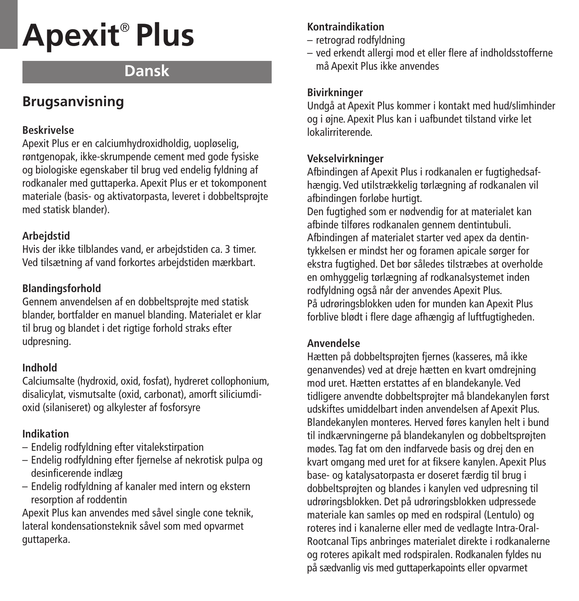# **Apexit** ® **Plus**

# **Dansk**

# **Brugsanvisning**

## **Beskrivelse**

Apexit Plus er en calciumhydroxidholdig, uopløselig, røntgenopak, ikke-skrumpende cement med gode fysiske og biologiske egenskaber til brug ved endelig fyldning af rodkanaler med guttaperka. Apexit Plus er et tokomponent materiale (basis- og aktivatorpasta, leveret i dobbeltsprøjte med statisk blander).

## **Arbejdstid**

Hvis der ikke tilblandes vand, er arbejdstiden ca. 3 timer. Ved tilsætning af vand forkortes arbejdstiden mærkbart.

## **Blandingsforhold**

Gennem anvendelsen af en dobbeltsprøjte med statisk blander, bortfalder en manuel blanding. Materialet er klar til brug og blandet i det rigtige forhold straks efter udpresning.

## **Indhold**

Calciumsalte (hydroxid, oxid, fosfat), hydreret collophonium, disalicylat, vismutsalte (oxid, carbonat), amorft siliciumdioxid (silaniseret) og alkylester af fosforsyre

## **Indikation**

- Endelig rodfyldning efter vitalekstirpation
- Endelig rodfyldning efter fjernelse af nekrotisk pulpa og desinficerende indlæg
- Endelig rodfyldning af kanaler med intern og ekstern resorption af roddentin

Apexit Plus kan anvendes med såvel single cone teknik, lateral kondensationsteknik såvel som med opvarmet guttaperka.

## **Kontraindikation**

- retrograd rodfyldning
- ved erkendt allergi mod et eller flere af indholdsstofferne må Apexit Plus ikke anvendes

## **Bivirkninger**

Undgå at Apexit Plus kommer i kontakt med hud/slimhinder og i øjne. Apexit Plus kan i uafbundet tilstand virke let lokalirriterende.

## **Vekselvirkninger**

Afbindingen af Apexit Plus i rodkanalen er fugtighedsafhængig. Ved utilstrækkelig tørlægning af rodkanalen vil afbindingen forløbe hurtigt.

Den fugtighed som er nødvendig for at materialet kan afbinde tilføres rodkanalen gennem dentintubuli. Afbindingen af materialet starter ved apex da dentintykkelsen er mindst her og foramen apicale sørger for ekstra fugtighed. Det bør således tilstræbes at overholde en omhyggelig tørlægning af rodkanalsystemet inden rodfyldning også når der anvendes Apexit Plus. På udrøringsblokken uden for munden kan Apexit Plus forblive blødt i flere dage afhængig af luftfugtigheden.

## **Anvendelse**

Hætten på dobbeltsprøjten fjernes (kasseres, må ikke genanvendes) ved at dreje hætten en kvart omdrejning mod uret. Hætten erstattes af en blandekanyle. Ved tidligere anvendte dobbeltsprøjter må blandekanylen først udskiftes umiddelbart inden anvendelsen af Apexit Plus. Blandekanylen monteres. Herved føres kanylen helt i bund til indkærvningerne på blandekanylen og dobbeltsprøjten mødes. Tag fat om den indfarvede basis og drej den en kvart omgang med uret for at fiksere kanylen. Apexit Plus base- og katalysatorpasta er doseret færdig til brug i dobbeltsprøjten og blandes i kanylen ved udpresning til udrøringsblokken. Det på udrøringsblokken udpressede materiale kan samles op med en rodspiral (Lentulo) og roteres ind i kanalerne eller med de vedlagte Intra-Oral-Rootcanal Tips anbringes materialet direkte i rodkanalerne og roteres apikalt med rodspiralen. Rodkanalen fyldes nu på sædvanlig vis med guttaperkapoints eller opvarmet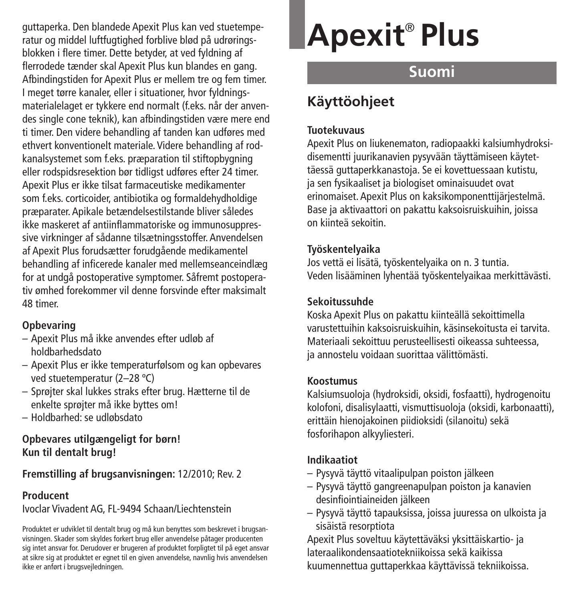guttaperka. Den blandede Apexit Plus kan ved stuetemperatur og middel luftfugtighed forblive blød på udrøringsblokken i flere timer. Dette betyder, at ved fyldning af flerrodede tænder skal Apexit Plus kun blandes en gang. Afbindingstiden for Apexit Plus er mellem tre og fem timer. I meget tørre kanaler, eller i situationer, hvor fyldningsmaterialelaget er tykkere end normalt (f.eks. når der anvendes single cone teknik), kan afbindingstiden være mere end ti timer. Den videre behandling af tanden kan udføres med ethvert konventionelt materiale. Videre behandling af rodkanalsystemet som f.eks. præparation til stiftopbygning eller rodspidsresektion bør tidligst udføres efter 24 timer. Apexit Plus er ikke tilsat farmaceutiske medikamenter som f.eks. corticoider, antibiotika og formaldehydholdige præparater. Apikale betændelsestilstande bliver således ikke maskeret af antiinflammatoriske og immunosuppressive virkninger af sådanne tilsætningsstoffer. Anvendelsen af Apexit Plus forudsætter forudgående medikamentel behandling af inficerede kanaler med mellemseanceindlæg for at undgå postoperative symptomer. Såfremt postoperativ ømhed forekommer vil denne forsvinde efter maksimalt 48 timer.

## **Opbevaring**

- Apexit Plus må ikke anvendes efter udløb af holdbarhedsdato
- Apexit Plus er ikke temperaturfølsom og kan opbevares ved stuetemperatur (2–28 ºC)
- Sprøjter skal lukkes straks efter brug. Hætterne til de enkelte sprøjter må ikke byttes om!
- Holdbarhed: se udløbsdato

## **Opbevares utilgængeligt for børn! Kun til dentalt brug!**

**Fremstilling af brugsanvisningen:** 12/2010; Rev. 2

## **Producent**

Ivoclar Vivadent AG, FL-9494 Schaan/Liechtenstein

Produktet er udviklet til dentalt brug og må kun benyttes som beskrevet i brugsanvisningen. Skader som skyldes forkert brug eller anvendelse påtager producenten sig intet ansvar for. Derudover er brugeren af produktet forpligtet til på eget ansvar at sikre sig at produktet er egnet til en given anvendelse, navnlig hvis anvendelsen ikke er anført i brugsvejledningen.

# **Apexit** ® **Plus**

# **Suomi**

# **Käyttöohjeet**

## **Tuotekuvaus**

Apexit Plus on liukenematon, radiopaakki kalsiumhydroksidisementti juurikanavien pysyvään täyttämiseen käytettäessä guttaperkkanastoja. Se ei kovettuessaan kutistu, ja sen fysikaaliset ja biologiset ominaisuudet ovat erinomaiset. Apexit Plus on kaksikomponenttijärjestelmä. Base ja aktivaattori on pakattu kaksoisruiskuihin, joissa on kiinteä sekoitin.

## **Työskentelyaika**

Jos vettä ei lisätä, työskentelyaika on n. 3 tuntia. Veden lisääminen lyhentää työskentelyaikaa merkittävästi.

## **Sekoitussuhde**

Koska Apexit Plus on pakattu kiinteällä sekoittimella varustettuihin kaksoisruiskuihin, käsinsekoitusta ei tarvita. Materiaali sekoittuu perusteellisesti oikeassa suhteessa, ja annostelu voidaan suorittaa välittömästi.

## **Koostumus**

Kalsiumsuoloja (hydroksidi, oksidi, fosfaatti), hydrogenoitu kolofoni, disalisylaatti, vismuttisuoloja (oksidi, karbonaatti), erittäin hienojakoinen piidioksidi (silanoitu) sekä fosforihapon alkyyliesteri.

## **Indikaatiot**

- Pysyvä täyttö vitaalipulpan poiston jälkeen
- Pysyvä täyttö gangreenapulpan poiston ja kanavien desinfiointiaineiden jälkeen
- Pysyvä täyttö tapauksissa, joissa juuressa on ulkoista ja sisäistä resorptiota

Apexit Plus soveltuu käytettäväksi yksittäiskartio- ja lateraalikondensaatiotekniikoissa sekä kaikissa kuumennettua guttaperkkaa käyttävissä tekniikoissa.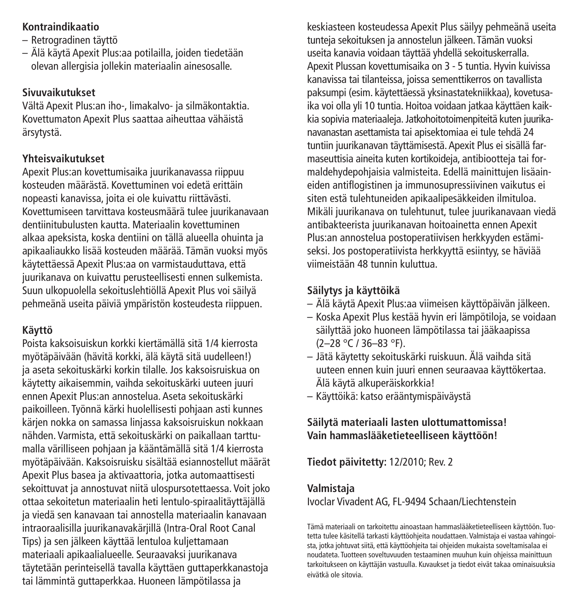## **Kontraindikaatio**

- Retrogradinen täyttö
- Älä käytä Apexit Plus:aa potilailla, joiden tiedetään olevan allergisia jollekin materiaalin ainesosalle.

## **Sivuvaikutukset**

Vältä Apexit Plus:an iho-, limakalvo- ja silmäkontaktia. Kovettumaton Apexit Plus saattaa aiheuttaa vähäistä ärsytystä.

## **Yhteisvaikutukset**

Apexit Plus:an kovettumisaika juurikanavassa riippuu kosteuden määrästä. Kovettuminen voi edetä erittäin nopeasti kanavissa, joita ei ole kuivattu riittävästi. Kovettumiseen tarvittava kosteusmäärä tulee juurikanavaan dentiinitubulusten kautta. Materiaalin kovettuminen alkaa apeksista, koska dentiini on tällä alueella ohuinta ja apikaaliaukko lisää kosteuden määrää. Tämän vuoksi myös käytettäessä Apexit Plus:aa on varmistauduttava, että juurikanava on kuivattu perusteellisesti ennen sulkemista. Suun ulkopuolella sekoituslehtiöllä Apexit Plus voi säilyä pehmeänä useita päiviä ympäristön kosteudesta riippuen.

## **Käyttö**

Poista kaksoisuiskun korkki kiertämällä sitä 1/4 kierrosta myötäpäivään (hävitä korkki, älä käytä sitä uudelleen!) ja aseta sekoituskärki korkin tilalle. Jos kaksoisruiskua on käytetty aikaisemmin, vaihda sekoituskärki uuteen juuri ennen Apexit Plus:an annostelua. Aseta sekoituskärki paikoilleen. Työnnä kärki huolellisesti pohjaan asti kunnes kärjen nokka on samassa linjassa kaksoisruiskun nokkaan nähden. Varmista, että sekoituskärki on paikallaan tarttumalla värilliseen pohjaan ja kääntämällä sitä 1/4 kierrosta myötäpäivään. Kaksoisruisku sisältää esiannostellut määrät Apexit Plus basea ja aktivaattoria, jotka automaattisesti sekoittuvat ja annostuvat niitä ulospursotettaessa. Voit joko ottaa sekoitetun materiaalin heti lentulo-spiraalitäyttäjällä ja viedä sen kanavaan tai annostella materiaalin kanavaan intraoraalisilla juurikanavakärjillä (Intra-Oral Root Canal Tips) ja sen jälkeen käyttää lentuloa kuljettamaan materiaali apikaalialueelle. Seuraavaksi juurikanava täytetään perinteisellä tavalla käyttäen guttaperkkanastoja tai lämmintä guttaperkkaa. Huoneen lämpötilassa ja

keskiasteen kosteudessa Apexit Plus säilyy pehmeänä useita tunteja sekoituksen ja annostelun jälkeen. Tämän vuoksi useita kanavia voidaan täyttää yhdellä sekoituskerralla. Apexit Plussan kovettumisaika on 3 - 5 tuntia. Hyvin kuivissa kanavissa tai tilanteissa, joissa sementtikerros on tavallista paksumpi (esim. käytettäessä yksinastatekniikkaa), kovetusaika voi olla yli 10 tuntia. Hoitoa voidaan jatkaa käyttäen kaikkia sopivia materiaaleja. Jatkohoitotoimenpiteitä kuten juurikanavanastan asettamista tai apisektomiaa ei tule tehdä 24 tuntiin juurikanavan täyttämisestä.Apexit Plus ei sisällä farmaseuttisia aineita kuten kortikoideja, antibiootteja tai formaldehydepohjaisia valmisteita. Edellä mainittujen lisäaineiden antiflogistinen ja immunosupressiivinen vaikutus ei siten estä tulehtuneiden apikaalipesäkkeiden ilmituloa. Mikäli juurikanava on tulehtunut, tulee juurikanavaan viedä antibakteerista juurikanavan hoitoainetta ennen Apexit Plus:an annostelua postoperatiivisen herkkyyden estämiseksi. Jos postoperatiivista herkkyyttä esiintyy, se häviää viimeistään 48 tunnin kuluttua.

## **Säilytys ja käyttöikä**

- Älä käytä Apexit Plus:aa viimeisen käyttöpäivän jälkeen.
- Koska Apexit Plus kestää hyvin eri lämpötiloja, se voidaan säilyttää joko huoneen lämpötilassa tai jääkaapissa (2–28 °C / 36–83 °F).
- Jätä käytetty sekoituskärki ruiskuun. Älä vaihda sitä uuteen ennen kuin juuri ennen seuraavaa käyttökertaa. Älä käytä alkuperäiskorkkia!
- Käyttöikä: katso erääntymispäiväystä

## **Säilytä materiaali lasten ulottumattomissa! Vain hammaslääketieteelliseen käyttöön!**

**Tiedot päivitetty:** 12/2010; Rev. 2

## **Valmistaja**

Ivoclar Vivadent AG, FL-9494 Schaan/Liechtenstein

Tämä materiaali on tarkoitettu ainoastaan hammaslääketieteelliseen käyttöön. Tuotetta tulee käsitellä tarkasti käyttöohjeita noudattaen. Valmistaja ei vastaa vahingoista, jotka johtuvat siitä, että käyttöohjeita tai ohjeiden mukaista soveltamisalaa ei noudateta. Tuotteen soveltuvuuden testaaminen muuhun kuin ohjeissa mainittuun tarkoitukseen on käyttäjän vastuulla. Kuvaukset ja tiedot eivät takaa ominaisuuksia eivätkä ole sitovia.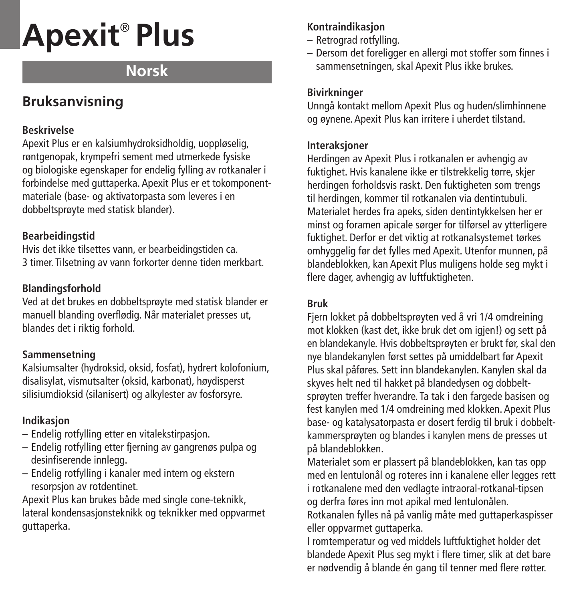# **Apexit** ® **Plus**

# **Norsk**

# **Bruksanvisning**

## **Beskrivelse**

Apexit Plus er en kalsiumhydroksidholdig, uoppløselig, røntgenopak, krympefri sement med utmerkede fysiske og biologiske egenskaper for endelig fylling av rotkanaler i forbindelse med guttaperka. Apexit Plus er et tokomponentmateriale (base- og aktivatorpasta som leveres i en dobbeltsprøyte med statisk blander).

## **Bearbeidingstid**

Hvis det ikke tilsettes vann, er bearbeidingstiden ca. 3 timer. Tilsetning av vann forkorter denne tiden merkbart.

## **Blandingsforhold**

Ved at det brukes en dobbeltsprøyte med statisk blander er manuell blanding overflødig. Når materialet presses ut, blandes det i riktig forhold.

## **Sammensetning**

Kalsiumsalter (hydroksid, oksid, fosfat), hydrert kolofonium, disalisylat, vismutsalter (oksid, karbonat), høydisperst silisiumdioksid (silanisert) og alkylester av fosforsyre.

## **Indikasjon**

- Endelig rotfylling etter en vitalekstirpasjon.
- Endelig rotfylling etter fjerning av gangrenøs pulpa og desinfiserende innlegg.
- Endelig rotfylling i kanaler med intern og ekstern resorpsjon av rotdentinet.

Apexit Plus kan brukes både med single cone-teknikk, lateral kondensasjonsteknikk og teknikker med oppvarmet guttaperka.

## **Kontraindikasjon**

- Retrograd rotfylling.
- Dersom det foreligger en allergi mot stoffer som finnes i sammensetningen, skal Apexit Plus ikke brukes.

## **Bivirkninger**

Unngå kontakt mellom Apexit Plus og huden/slimhinnene og øynene. Apexit Plus kan irritere i uherdet tilstand.

## **Interaksjoner**

Herdingen av Apexit Plus i rotkanalen er avhengig av fuktighet. Hvis kanalene ikke er tilstrekkelig tørre, skjer herdingen forholdsvis raskt. Den fuktigheten som trengs til herdingen, kommer til rotkanalen via dentintubuli. Materialet herdes fra apeks, siden dentintykkelsen her er minst og foramen apicale sørger for tilførsel av ytterligere fuktighet. Derfor er det viktig at rotkanalsystemet tørkes omhyggelig før det fylles med Apexit. Utenfor munnen, på blandeblokken, kan Apexit Plus muligens holde seg mykt i flere dager, avhengig av luftfuktigheten.

## **Bruk**

Fjern lokket på dobbeltsprøyten ved å vri 1/4 omdreining mot klokken (kast det, ikke bruk det om jgjen!) og sett på en blandekanyle. Hvis dobbeltsprøyten er brukt før, skal den nye blandekanylen først settes på umiddelbart før Apexit Plus skal påføres. Sett inn blandekanylen. Kanylen skal da skyves helt ned til hakket på blandedysen og dobbeltsprøyten treffer hverandre. Ta tak i den fargede basisen og fest kanylen med 1/4 omdreining med klokken. Apexit Plus base- og katalysatorpasta er dosert ferdig til bruk i dobbeltkammersprøyten og blandes i kanylen mens de presses ut på blandeblokken.

Materialet som er plassert på blandeblokken, kan tas opp med en lentulonål og roteres inn i kanalene eller legges rett i rotkanalene med den vedlagte intraoral-rotkanal-tipsen og derfra føres inn mot apikal med lentulonålen.

Rotkanalen fylles nå på vanlig måte med guttaperkaspisser eller oppvarmet guttaperka.

I romtemperatur og ved middels luftfuktighet holder det blandede Apexit Plus seg mykt i flere timer, slik at det bare er nødvendig å blande én gang til tenner med flere røtter.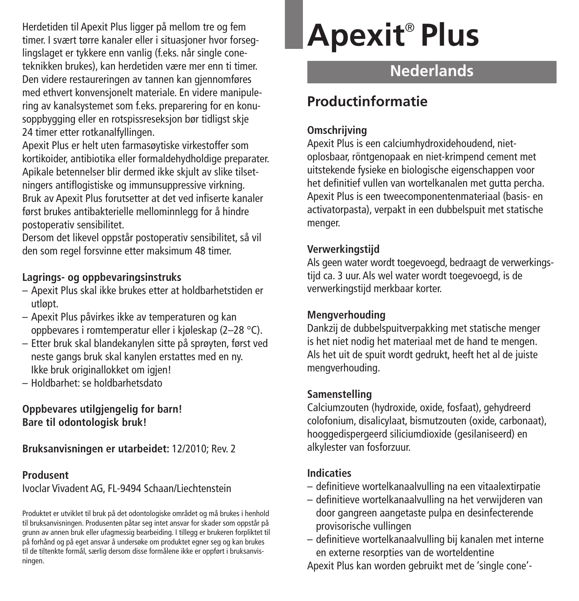Herdetiden til Apexit Plus ligger på mellom tre og fem timer. I svært tørre kanaler eller i situasjoner hvor forseglingslaget er tykkere enn vanlig (f.eks. når single coneteknikken brukes), kan herdetiden være mer enn ti timer. Den videre restaureringen av tannen kan gjennomføres med ethvert konvensjonelt materiale. En videre manipulering av kanalsystemet som f.eks. preparering for en konusoppbygging eller en rotspissreseksjon bør tidligst skje 24 timer etter rotkanalfyllingen.

Apexit Plus er helt uten farmasøytiske virkestoffer som kortikoider, antibiotika eller formaldehydholdige preparater. Apikale betennelser blir dermed ikke skjult av slike tilsetningers antiflogistiske og immunsuppressive virkning. Bruk av Apexit Plus forutsetter at det ved infiserte kanaler først brukes antibakterielle mellominnlegg for å hindre postoperativ sensibilitet.

Dersom det likevel oppstår postoperativ sensibilitet, så vil den som regel forsvinne etter maksimum 48 timer.

## **Lagrings- og oppbevaringsinstruks**

- Apexit Plus skal ikke brukes etter at holdbarhetstiden er utløpt.
- Apexit Plus påvirkes ikke av temperaturen og kan oppbevares i romtemperatur eller i kjøleskap (2–28 °C).
- Etter bruk skal blandekanylen sitte på sprøyten, først ved neste gangs bruk skal kanylen erstattes med en ny. Ikke bruk originallokket om igjen!
- Holdbarhet: se holdbarhetsdato

## **Oppbevares utilgjengelig for barn! Bare til odontologisk bruk!**

**Bruksanvisningen er utarbeidet:** 12/2010; Rev. 2

### **Produsent**

Ivoclar Vivadent AG, FL-9494 Schaan/Liechtenstein

Produktet er utviklet til bruk på det odontologiske området og må brukes i henhold til bruksanvisningen. Produsenten påtar seg intet ansvar for skader som oppstår på grunn av annen bruk eller ufagmessig bearbeiding. I tillegg er brukeren forpliktet til på forhånd og på eget ansvar å undersøke om produktet egner seg og kan brukes til de tiltenkte formål, særlig dersom disse formålene ikke er oppført i bruksanvisningen.

# **Apexit** ® **Plus**

# **Nederlands**

## **Productinformatie**

## **Omschrijving**

Apexit Plus is een calciumhydroxidehoudend, nietoplosbaar, röntgenopaak en niet-krimpend cement met uitstekende fysieke en biologische eigenschappen voor het definitief vullen van wortelkanalen met gutta percha. Apexit Plus is een tweecomponentenmateriaal (basis- en activatorpasta), verpakt in een dubbelspuit met statische menger.

## **Verwerkingstijd**

Als geen water wordt toegevoegd, bedraagt de verwerkingstijd ca. 3 uur. Als wel water wordt toegevoegd, is de verwerkingstijd merkbaar korter.

## **Mengverhouding**

Dankzij de dubbelspuitverpakking met statische menger is het niet nodig het materiaal met de hand te mengen. Als het uit de spuit wordt gedrukt, heeft het al de juiste mengverhouding.

## **Samenstelling**

Calciumzouten (hydroxide, oxide, fosfaat), gehydreerd colofonium, disalicylaat, bismutzouten (oxide, carbonaat), hooggedispergeerd siliciumdioxide (gesilaniseerd) en alkylester van fosforzuur.

## **Indicaties**

- definitieve wortelkanaalvulling na een vitaalextirpatie
- definitieve wortelkanaalvulling na het verwijderen van door gangreen aangetaste pulpa en desinfecterende provisorische vullingen
- definitieve wortelkanaalvulling bij kanalen met interne en externe resorpties van de worteldentine

Apexit Plus kan worden gebruikt met de 'single cone'-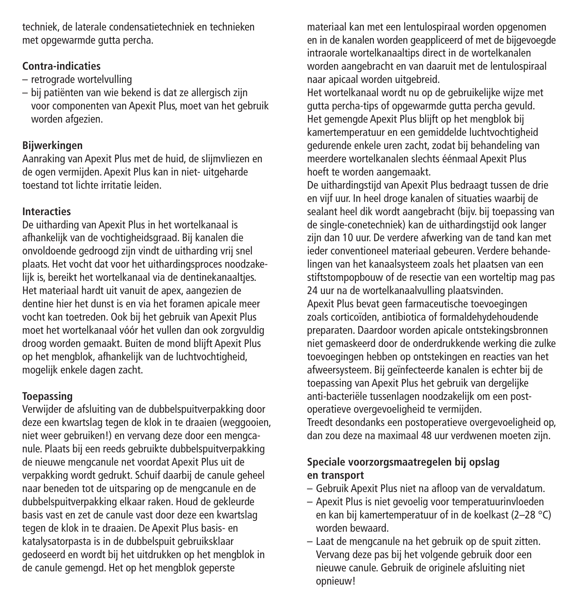techniek, de laterale condensatietechniek en technieken met opgewarmde gutta percha.

## **Contra-indicaties**

- retrograde wortelvulling
- bij patiënten van wie bekend is dat ze allergisch zijn voor componenten van Apexit Plus, moet van het gebruik worden afgezien.

## **Bijwerkingen**

Aanraking van Apexit Plus met de huid, de slijmvliezen en de ogen vermijden. Apexit Plus kan in niet- uitgeharde toestand tot lichte irritatie leiden.

## **Interacties**

De uitharding van Apexit Plus in het wortelkanaal is afhankelijk van de vochtigheidsgraad. Bij kanalen die onvoldoende gedroogd zijn vindt de uitharding vrij snel plaats. Het vocht dat voor het uithardingsproces noodzakelijk is, bereikt het wortelkanaal via de dentinekanaaltjes. Het materiaal hardt uit vanuit de apex, aangezien de dentine hier het dunst is en via het foramen apicale meer vocht kan toetreden. Ook bij het gebruik van Apexit Plus moet het wortelkanaal vóór het vullen dan ook zorgvuldig droog worden gemaakt. Buiten de mond blijft Apexit Plus op het mengblok, afhankelijk van de luchtvochtigheid, mogelijk enkele dagen zacht.

## **Toepassing**

Verwijder de afsluiting van de dubbelspuitverpakking door deze een kwartslag tegen de klok in te draaien (weggooien, niet weer gebruiken!) en vervang deze door een mengcanule. Plaats bij een reeds gebruikte dubbelspuitverpakking de nieuwe mengcanule net voordat Apexit Plus uit de verpakking wordt gedrukt. Schuif daarbij de canule geheel naar beneden tot de uitsparing op de mengcanule en de dubbelspuitverpakking elkaar raken. Houd de gekleurde basis vast en zet de canule vast door deze een kwartslag tegen de klok in te draaien. De Apexit Plus basis- en katalysatorpasta is in de dubbelspuit gebruiksklaar gedoseerd en wordt bij het uitdrukken op het mengblok in de canule gemengd. Het op het mengblok geperste

materiaal kan met een lentulospiraal worden opgenomen en in de kanalen worden geappliceerd of met de bijgevoegde intraorale wortelkanaaltips direct in de wortelkanalen worden aangebracht en van daaruit met de lentulospiraal naar apicaal worden uitgebreid.

Het wortelkanaal wordt nu op de gebruikelijke wijze met gutta percha-tips of opgewarmde gutta percha gevuld. Het gemengde Apexit Plus blijft op het mengblok bij kamertemperatuur en een gemiddelde luchtvochtigheid gedurende enkele uren zacht, zodat bij behandeling van meerdere wortelkanalen slechts éénmaal Apexit Plus hoeft te worden aangemaakt.

De uithardingstijd van Apexit Plus bedraagt tussen de drie en vijf uur. In heel droge kanalen of situaties waarbij de sealant heel dik wordt aangebracht (bijv. bij toepassing van de single-conetechniek) kan de uithardingstijd ook langer zijn dan 10 uur. De verdere afwerking van de tand kan met ieder conventioneel materiaal gebeuren. Verdere behandelingen van het kanaalsysteem zoals het plaatsen van een stiftstompopbouw of de resectie van een worteltip mag pas 24 uur na de wortelkanaalvulling plaatsvinden. Apexit Plus bevat geen farmaceutische toevoegingen zoals corticoïden, antibiotica of formaldehydehoudende preparaten. Daardoor worden apicale ontstekingsbronnen niet gemaskeerd door de onderdrukkende werking die zulke toevoegingen hebben op ontstekingen en reacties van het afweersysteem. Bij geïnfecteerde kanalen is echter bij de toepassing van Apexit Plus het gebruik van dergelijke anti-bacteriële tussenlagen noodzakelijk om een postoperatieve overgevoeligheid te vermijden.

Treedt desondanks een postoperatieve overgevoeligheid op, dan zou deze na maximaal 48 uur verdwenen moeten zijn.

## **Speciale voorzorgsmaatregelen bij opslag en transport**

- Gebruik Apexit Plus niet na afloop van de vervaldatum.
- Apexit Plus is niet gevoelig voor temperatuurinvloeden en kan bij kamertemperatuur of in de koelkast (2–28 °C) worden bewaard.
- Laat de mengcanule na het gebruik op de spuit zitten. Vervang deze pas bij het volgende gebruik door een nieuwe canule. Gebruik de originele afsluiting niet opnieuw!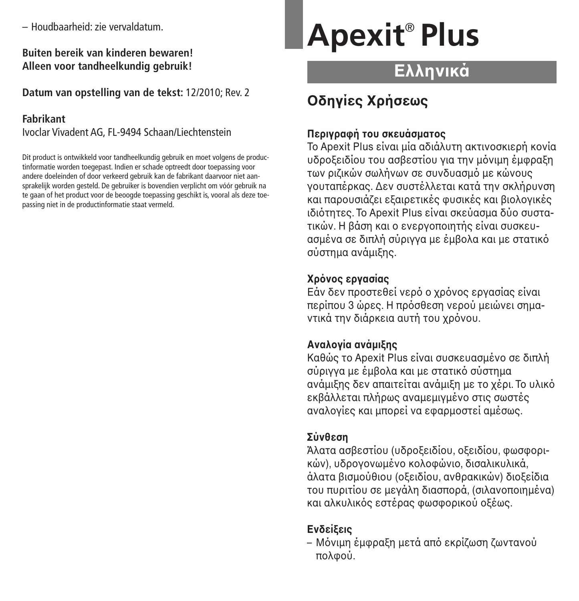– Houdbaarheid: zie vervaldatum.

**Buiten bereik van kinderen bewaren! Alleen voor tandheelkundig gebruik!**

**Datum van opstelling van de tekst:** 12/2010; Rev. 2

## **Fabrikant**

Ivoclar Vivadent AG, FL-9494 Schaan/Liechtenstein

Dit product is ontwikkeld voor tandheelkundig gebruik en moet volgens de productinformatie worden toegepast. Indien er schade optreedt door toepassing voor andere doeleinden of door verkeerd gebruik kan de fabrikant daarvoor niet aansprakelijk worden gesteld. De gebruiker is bovendien verplicht om vóór gebruik na te gaan of het product voor de beoogde toepassing geschikt is, vooral als deze toepassing niet in de productinformatie staat vermeld.

# **Apexit** ® **Plus**

# **Ελληνικά**

# **Oδηγίες Xρήσεως**

## **Περιγραή τυ σκευάσµατς**

Το Apexit Plus είναι μία αδιάλυτη ακτινοσκιερή κονία υδροξειδίου του ασβεστίου για την μόνιμη έμφραξη των ριζικών σωλήνων σε συνδυασμό με κώνους νουταπέρκας. Δεν συστέλλεται κατά την σκλήρυνση και παρουσιάζει εξαιρετικές φυσικές και βιολογικές ιδιότητες. Το Apexit Plus είναι σκεύασμα δύο συστατικών. Η βάση και ο ενεργοποιητής είναι συσκευασμένα σε διπλή σύριννα με έμβολα και με στατικό σύστηµα ανάµιKης.

## **ρνς εργασίας**

Εάν δεν προστεθεί νερό ο χρόνος εργασίας είναι περίπου 3 ώρες. Η πρόσθεση νερού μειώνει σημαντικά την διάρκεια αυτή του χρόνου.

## **Αναλγία ανάµιης**

Καθώς το Apexit Plus είναι συσκευασμένο σε διπλή σύριγγα με έμβολα και με στατικό σύστημα ανάμιξης δεν απαιτείται ανάμιξη με το χέρι. Το υλικό εκβάλλεται πλήρως αναμεμινμένο στις σωστές αναλονίες και μπορεί να εφαρμοστεί αμέσως.

## **Σύνθεση**

Άλατα ασβεστίου (υδροξειδίου, οξειδίου, φωσφορικών), υδρονονωμένο κολοφώνιο, δισαλικυλικά, άλατα βισμούθιου (οξειδίου, ανθρακικών) διοξείδια του πυριτίου σε μεγάλη διασπορά, (σιλανοποιημένα) και αλκυλικός εστέρας φωσφορικού οξέως.

## **Ενδείεις**

– Μόνιμη έμφραξη μετά από εκρίζωση ζωντανού πολφού.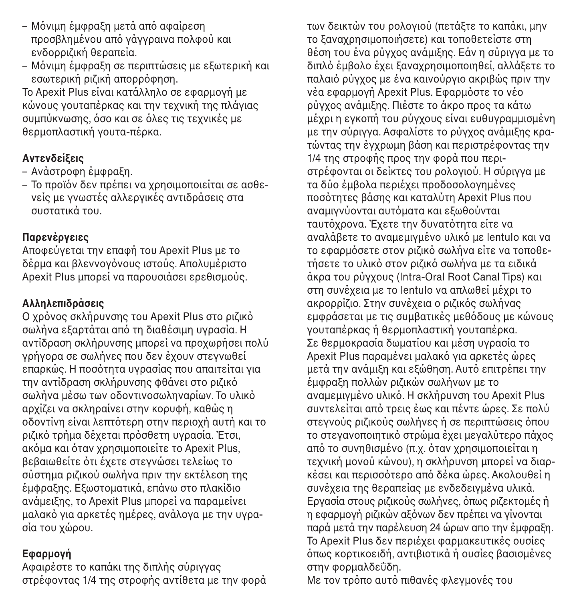- Μόνιμη έμφραξη μετά από αφαίρεση προσβλημένου από γάγγραινα πολφού και ενδρροιζική θεραπεία.
- Μόνιμη έμφραξη σε περιπτώσεις με εξωτερική και εσωτερική ριζική απορρόφηση.

Το Apexit Plus είναι κατάλληλο σε εφαρμογή με κώνους γουταπέρκας και την τεχνική της πλάγιας συμπύκνωσης, όσο και σε όλες τις τεχνικές με θερμοπλαστική γουτα-πέρκα.

## **Αντενδείεις**

- Ανάστροφη έμφραξη.
- Το προϊόν δεν πρέπει να χρησιμοποιείται σε ασθενείς µε γνωστές αλλεργικές αντιδράσεις στα συστατικά του.

## **Παρενέργειες**

Αποφεύγεται την επαφή του Apexit Plus με το δέρμα και βλεννογόνους ιστούς. Απολυμέριστο Apexit Plus μπορεί να παρουσιάσει ερεθισμούς.

## **Αλληλεπιδράσεις**

Ο χρόνος σκλήρυνσης του Apexit Plus στο ριζικό σωλήνα εξαρτάται από τη διαθέσιμη υγρασία. Η αντίδραση σκλήρυνσης μπορεί να προχωρήσει πολύ γρήγορα σε σωλήνες που δεν έχουν στεγνωθεί επαρκώς. Η ποσότητα υγρασίας που απαιτείται για την αντίδραση σκλήρυνσης φθάνει στο ριζικό σωλήνα μέσω των οδοντινοσωληναρίων. Το υλικό αρχίζει να σκληραίνει στην κορυφή, καθώς η οδοντίνη είναι λεπτότερη στην περιοχή αυτή και το ριζικό τρήμα δέχεται πρόσθετη υγρασία. Έτσι, ακόμα και όταν χρησιμοποιείτε το Apexit Plus, βεβαιωθείτε ότι έχετε στεγνώσει τελείως το σύστημα ριζικού σωλήνα πριν την εκτέλεση της έμφραξης. Εξωστοματικά, επάνω στο πλακίδιο ανάμειξης, το Apexit Plus μπορεί να παραμείνει μαλακό για αρκετές ημέρες, ανάλογα με την υγρασία του χώρου.

## **Εαρµγή**

Αφαιρέστε το καπάκι της διπλής σύριγγας στρέφοντας 1/4 της στροφής αντίθετα με την φορά των δεικτών του ρολογιού (πετάξτε το καπάκι, μην το ξαναχρησιμοποιήσετε) και τοποθετείστε στη θέση του ένα ρύγχος ανάμιξης. Εάν η σύριγγα με το διπλό έμβολο έχει ξαναχρησιμοποιηθεί, αλλάξετε το παλαιό ρύγχος με ένα καινούργιο ακριβώς πριν την νέα εφαρμογή Apexit Plus. Εφαρμόστε το νέο ρύγχος ανάμιξης. Πιέστε το άκρο προς τα κάτω μέχρι η εγκοπή του ρύγχους είναι ευθυγραμμισμένη με την σύριγγα. Ασφαλίστε το ρύγχος ανάμιξης κρατώντας την έγχρωμη βάση και περιστρέφοντας την 1/4 της στροφής προς την φορά που περιστρέφονται οι δείκτες του ρολογιού. Η σύριγγα με τα δύο έμβολα περιέχει προδοσολογημένες ποσότητες βάσης και καταλύτη Apexit Plus που αναμιγνύονται αυτόματα και εξωθούνται ταυτόχρονα. Έχετε την δυνατότητα είτε να αναλάβετε το αναμεμιγμένο υλικό με lentulo και να το εφαρμόσετε στον ριζικό σωλήνα είτε να τοποθετήσετε το υλικό στον ριζικό σωλήνα με τα ειδικά άκρα του ρύγχους (Intra-Oral Root Canal Tips) και στη συνέχεια με το lentulo να απλωθεί μέχρι το ακρορρίζιο. Στην συνέχεια ο ριζικός σωλήνας εμφράσεται με τις συμβατικές μεθόδους με κώνους γουταπέρκας ή θερμοπλαστική γουταπέρκα. Σε θερμοκρασία δωματίου και μέση υγρασία το Apexit Plus παραμένει μαλακό για αρκετές ώρες μετά την ανάμιξη και εξώθηση. Αυτό επιτρέπει την έμφραξη πολλών ριζικών σωλήνων με το αναμεμιγμένο υλικό. Η σκλήρυνση του Apexit Plus συντελείται από τρεις έως και πέντε ώρες. Σε πολύ στεγνούς ριζικούς σωλήνες ή σε περιπτώσεις όπου το στεγανοποιητικό στρώμα έχει μεγαλύτερο πάχος από το συνηθισμένο (π.χ. όταν χρησιμοποιείται η τεχνική μονού κώνου), η σκλήρυνση μπορεί να διαρκέσει και περισσότερο από δέκα ώρες. Ακολουθεί η συνέYεια της θεραπείας µε ενδεδειγµένα υλικά. Εργασία στους ριζικούς σωλήνες, όπως ριζεκτομές ή η εφαρμογή ριζικών αξόνων δεν πρέπει να γίνονται παρά μετά την παρέλευση 24 ώρων απο την έμφραξη. Το Apexit Plus δεν περιέχει φαρμακευτικές ουσίες οπως κορτικοειδή, αντιβιοτικά ή ουσίες βασισμένες στην φορμαλδεΰδη.

Με τον τρόπο αυτό πιθανές φλεγμονές του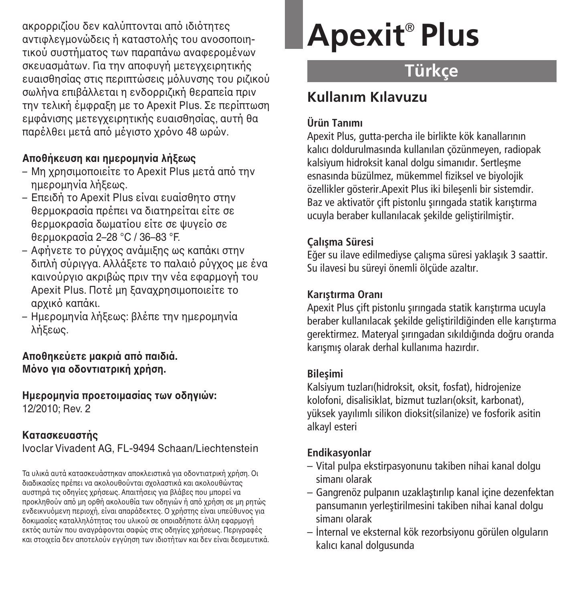ακρορριζίου δεν καλύπτονται από ιδιότητες αντιφλεγμονώδεις ή καταστολής του ανοσοποιητικού συστήματος των παραπάνω αναφερομένων σκευασμάτων. Για την αποφυγή μετεγχειρητικής ευαισθησίας στις περιπτώσεις μόλυνσης του ριζικού σωλήνα επιβάλλεται η ενδορριζική θεραπεία πριν την τελική έμφραξη με το Apexit Plus. Σε περίπτωση εµGάνισης µετεγYειρητικής ευαισθησίας, αυτή θα παρέλθει μετά από μέγιστο χρόνο 48 ωρών.

## **Απθήκευση και ηµερµηνία λήεως**

- $-$  Μη χρησιμοποιείτε το Apexit Plus μετά από την ημερομηνία λήξεως.
- Επειδή το Apexit Plus είναι ευαίσθητο στην θερμοκρασία πρέπει να διατηρείται είτε σε θερμοκρασία δωματίου είτε σε ψυγείο σε θερμοκρασία 2–28 °C / 36–83 °F.
- Αφήνετε το ρύγχος ανάμιξης ως καπάκι στην διπλή σύριγγα. Αλλάξετε το παλαιό ρύγγος με ένα καινούργιο ακριβώς πριν την νέα εφαρμονή του Apexit Plus. Ποτέ μη ξαναχρησιμοποιείτε το αργικό καπάκι.
- Ημερομηνία λήξεως: βλέπε την ημερομηνία λήξεως.

**Απθηκεύετε µακριά απ παιδιά. Μν για δντιατρική (ρήση.**

 $H$ μερομηνία προετοιμασίας των οδηνιών: 12/2010; Rev. 2

## **Κατασκευαστής**

Ivoclar Vivadent AG, FL-9494 Schaan/Liechtenstein

Τα υλικά αυτά κατασκευάστηκαν αποκλειστικά για οδοντιατρική χρήση. Οι διαδικασίες πρέπει να ακολουθούνται σχολαστικά και ακολουθώντας αυστηρά τις οδηγίες χρήσεως. Απαιτήσεις για βλάβες που μπορεί να προκληθούν από μη ορθή ακολουθία των οδηγιών ή από χρήση σε μη ρητώς ενδεικνυόμενη περιοχή, είναι απαράδεκτες. Ο χρήστης είναι υπεύθυνος για δοκιμασίες καταλληλότητας του υλικού σε οποιαδήποτε άλλη εφαρμονή εκτός αυτών που αναγράφονται σαφώς στις οδηγίες χρήσεως. Περιγραφές και στοιχεία δεν αποτελούν εγγύηση των ιδιοτήτων και δεν είναι δεσμευτικά.

# **Apexit** ® **Plus**

# **Türkçe**

# **Kullan›m K›lavuzu**

## **Ürün Tan›m›**

Apexit Plus, gutta-percha ile birlikte kök kanallarının kalıcı doldurulmasında kullanılan çözünmeyen, radiopak kalsiyum hidroksit kanal dolgu simanıdır. Sertlesme esnasında büzülmez, mükemmel fiziksel ve biyolojik özellikler gösterir. Apexit Plus iki bilesenli bir sistemdir. Baz ve aktivatör cift pistonlu sırıngada statik karıstırma ucuyla beraber kullanılacak sekilde geliştirilmiştir.

## **Çal›flma Süresi**

Eğer su ilave edilmediyse çalışma süresi yaklaşık 3 saattir. Su ilavesi bu süreyi önemli ölçüde azaltır.

## **Karıstırma Oranı**

Apexit Plus cift pistonlu sırıngada statik karıstırma ucuyla beraber kullanılacak sekilde geliştirildiğinden elle karıştırma gerektirmez. Materyal sırıngadan sıkıldığında doğru oranda karısmıs olarak derhal kullanıma hazırdır.

## **Bilesimi**

Kalsiyum tuzları(hidroksit, oksit, fosfat), hidrojenize kolofoni, disalisiklat, bizmut tuzları(oksit, karbonat), vüksek vayılımlı silikon dioksit(silanize) ve fosforik asitin alkayl esteri

## **Endikasyonlar**

- Vital pulpa ekstirpasyonunu takiben nihai kanal dolgu simanı olarak
- Gangrenöz pulpan›n uzaklaflt›r›l›p kanal içine dezenfektan pansumanın verleştirilmesini takiben nihai kanal dolgu siman› olarak
- $-$  İnternal ve eksternal kök rezorbsiyonu görülen olguların kalıcı kanal dolgusunda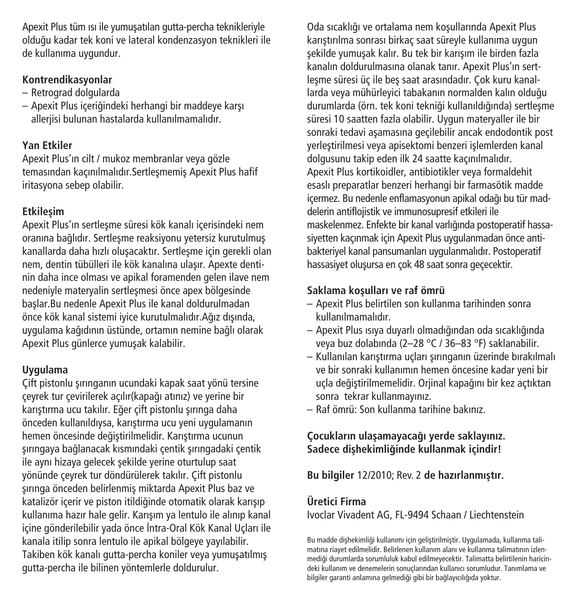Apexit Plus tüm ısı ile yumuşatılan gutta-percha teknikleriyle oldu¤u kadar tek koni ve lateral kondenzasyon teknikleri ile de kullanıma uygundur.

## **Kontrendikasyonlar**

- Retrograd dolgularda
- Apexit Plus içeriğindeki herhangi bir maddeye karşı alleriisi bulunan hastalarda kullanılmamalıdır.

## **Yan Etkiler**

Apexit Plus'ın cilt / mukoz membranlar veya gözle temasından kaçınılmalıdır. Sertleşmemiş Apexit Plus hafif iritasyona sebep olabilir.

## **Etkilesim**

Apexit Plus'ın sertleşme süresi kök kanalı içerisindeki nem oranına bağlıdır. Sertlesme reaksiyonu yetersiz kurutulmus kanallarda daha hızlı olusacaktır. Sertlesme için gerekli olan nem, dentin tübülleri ile kök kanalına ulasır. Apexte dentinin daha ince olması ve apikal foramenden gelen ilave nem nedeniyle materyalin sertleşmesi önce apex bölgesinde baslar.Bu nedenle Apexit Plus ile kanal doldurulmadan önce kök kanal sistemi ivice kurutulmalıdır.Ağız dısında, uvgulama kağıdının üstünde, ortamın nemine bağlı olarak Apexit Plus günlerce yumusak kalabilir.

## **Uygulama**

Çift pistonlu şırınganın ucundaki kapak saat yönü tersine çeyrek tur çevirilerek açılır(kapağı atınız) ve yerine bir karıştırma ucu takılır. Eğer çift pistonlu şırınga daha önceden kullanıldıysa, karıştırma ucu yeni uygulamanın hemen öncesinde deăistirilmelidir. Karıstırma ucunun sırıngaya bağlanacak kısmındaki çentik sırıngadaki çentik ile aynı hizaya gelecek sekilde yerine oturtulup saat yönünde çeyrek tur döndürülerek takılır. Çift pistonlu sırınga önceden belirlenmiş miktarda Apexit Plus baz ve katalizör içerir ve piston itildiğinde otomatik olarak karısıp kullanıma hazır hale gelir. Karışım ya lentulo ile alınıp kanal içine gönderilebilir yada önce İntra-Oral Kök Kanal Uçları ile kanala itilip sonra lentulo ile apikal bölgeye yayılabilir. Takiben kök kanalı gutta-percha koniler veya yumuşatılmış gutta-percha ile bilinen yöntemlerle doldurulur.

Oda sıcaklığı ve ortalama nem kosullarında Apexit Plus karıstırılma sonrası birkaç saat süreyle kullanıma uygun sekilde yumusak kalır. Bu tek bir karısım ile birden fazla kanalın doldurulmasına olanak tanır. Apexit Plus'ın sertlesme süresi üç ile beş saat arasındadır. Çok kuru kanallarda veya mühürleyici tabakanın normalden kalın olduğu durumlarda (örn. tek koni tekniği kullanıldığında) sertleşme süresi 10 saatten fazla olabilir. Uygun materyaller ile bir sonraki tedavi asamasına geçilebilir ancak endodontik post verlestirilmesi veya apisektomi benzeri islemlerden kanal dolgusunu takip eden ilk 24 saatte kaçınılmalıdır. Apexit Plus kortikoidler, antibiotikler veya formaldehit esaslı preparatlar benzeri herhangi bir farmasötik madde icermez. Bu nedenle enflamasyonun apikal odağı bu tür maddelerin antiflojistik ve immunosupresif etkileri ile maskelenmez. Enfekte bir kanal varlığında postoperatif hassasiyetten kaçınmak için Apexit Plus uygulanmadan önce antibakteriyel kanal pansumanları uygulanmalıdır. Postoperatif hassasiyet oluşursa en çok 48 saat sonra geçecektir.

## **Saklama koflullar› ve raf ömrü**

- Apexit Plus belirtilen son kullanma tarihinden sonra kullanılmamalıdır.
- Apexit Plus ›s›ya duyarl› olmad›¤›ndan oda s›cakl›¤›nda veya buz dolabında (2–28 °C / 36–83 °F) saklanabilir.
- Kullanılan karıştırma uçları şırınganın üzerinde bırakılmalı ve bir sonraki kullanımın hemen öncesine kadar yeni bir uçla değiştirilmemelidir. Orjinal kapağını bir kez açtıktan sonra tekrar kullanmayınız.
- Raf ömrü: Son kullanma tarihine bak›n›z.

## **Çocuklar›n ulaflamayaca¤› yerde saklay›n›z. Sadece diflhekimli¤inde kullanmak içindir!**

**Bu bilgiler** 12/2010; Rev. 2 **de haz›rlanm›flt›r.**

## **Üretici Firma**

Ivoclar Vivadent AG, FL-9494 Schaan / Liechtenstein

Bu madde dişhekimliği kullanımı için geliştirilmiştir. Uygulamada, kullanma talimatına riayet edilmelidir. Belirlenen kullanım alanı ve kullanma talimatının izlenmediği durumlarda sorumluluk kabul edilmeyecektir. Talimatta belirtilenin haricindeki kullanım ve denemelerin sonuçlarından kullanıcı sorumludur. Tanımlama ve bilgiler garanti anlamına gelmediği gibi bir bağlayıcılığıda yoktur.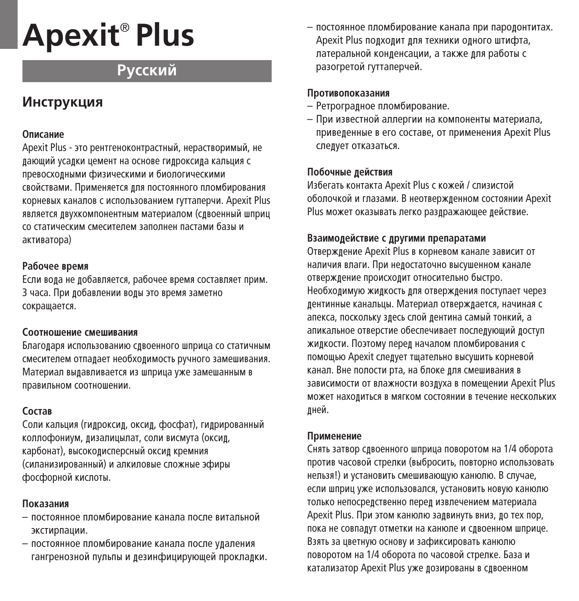# **Apexit** ® **Plus**

# **Р**усский

## **Инструкция**

#### **Описание**

Apexit Plus - это рентгеноконтрастный, нерастворимый, не лаюший усалки цемент на основе гилроксила кальция с превосходными физическими и биологическими свойствами. Применяется для постоянного пломбирования корневых каналов с использованием гуттаперчи. Apexit Plus является двухкомпонентным материалом (сдвоенный шприц CO СТАТИЧЕСКИМ СМЕСИТЕЛЕМ ЗАЛОЛНЕН ЛАСТАМИ бАЗЫ И aктиватора)

#### **Рабочее время**

Если вода не добавляется, рабочее время составляет прим. З часа. При добавлении воды это время заметно сокращается.

#### Соотношение смешивания

Благодаря использованию сдвоенного шприца со статичным смесителем отпадает необходимость ручного замешивания. Материал выдавливается из шприца уже замешанным в правильном соотношении.

## $C$ <sub>O</sub> $CTAB$

Соли кальция (гилроксил, оксил, фосфат), гилрированный коллофониум, дизалицылат, соли висмута (оксид, карбонат), высокодисперсный оксид кремния (силанизированный) и алкиловые сложные эфиры фосфорной кислоты.

#### **Показания**

- постоянное пломбирование канала после витальной экстирпации.
- постоянное пломбирование канала после улаления гангренозной пульпы и дезинфицирующей прокладки.

 $-$  постоянное пломбирование канала при паролонтитах. Apexit Plus полхолит лля техники олного штифта. латеральной конленсации, а также лля работы с разогретой гуттаперчей.

#### Противопоказания

- Ретроградное пломбирование.
- При известной аллергии на компоненты материала, приведенные в его составе, от применения Apexit Plus следует отказаться.

## Побочные лействия

Избегать контакта Apexit Plus с кожей / слизистой оболочкой и глазами. В неотвержленном состоянии Apexit Plus может оказывать легко разлражающее лействие.

### Взаимолействие с лругими препаратами

Отверждение Apexit Plus в корневом канале зависит от наличия влаги. При недостаточно высушенном канале отверждение происходит относительно быстро. Необходимую жидкость для отверждения поступает через лентинные канальцы. Материал отвержлается, начиная с апекса, поскольку злесь слой лентина самый тонкий, а апикальное отверстие обеспечивает послелующий лоступ жилкости. Поэтому перел началом пломбирования с помощью Apexit следует тщательно высушить корневой канал. Вне полости рта, на блоке лля смешивания в зависимости от влажности воздуха в помещении Apexit Plus может находиться в мягком состоянии в течение нескольких лней.

### **Применение**

Снять затвор слвоенного шприца поворотом на 1/4 оборота против часовой стрелки (выбросить, повторно использовать нельзя!) и установить смешивающую канюлю. В случае, если шприц уже использовался, установить новую канюлю только непосрелственно перел извлечением материала Apexit Plus. При этом канюлю задвинуть вниз, до тех пор, пока не совпадут отметки на канюле и сдвоенном шприце. Взять за цветную основу и зафиксировать канюлю поворотом на 1/4 оборота по часовой стрелке. База и катализатор Apexit Plus уже дозированы в сдвоенном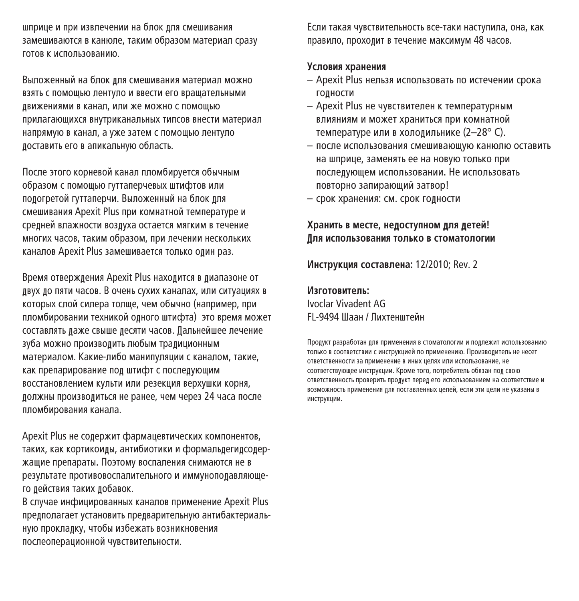шприце и при извлечении на блок для смешивания замешиваются в канюле, таким образом материал сразу ГОТОВ К ИСПОЛЬЗОВАНИЮ.

Выпоженный на блок лля смешивания материал можно взять с помощью лентуло и ввести его вращательными ДВИЖЕНИЯМИ В КАНАЛ, ИЛИ ЖЕ МОЖНО С ПОМОЩЬЮ прилагающихся внутриканальных типсов внести материал напрямую в канал, а уже затем с помощью лентуло доставить его в апикальную область.

После этого корневой канал пломбируется обычным образом с помошью гуттаперчевых штифтов или пологретой гуттаперчи. Выложенный на блок лля CMeшивания Apexit Plus при комнатной температуре и средней влажности воздуха остается мягким в течение многих часов, таким образом, при лечении нескольких каналов Apexit Plus замешивается только один раз.

Время отверждения Apexit Plus находится в диапазоне от ДВУХ ДО ПЯТИ ЧАСОВ. В ОЧЕНЬ СУХИХ КАНАЛАХ, ИЛИ СИТУАЦИЯХ В которых слой силера толше, чем обычно (например, при пломбировании техникой олного штифта) это время может составлять лаже свыше лесяти часов. Лальнейшее лечение зуба можно произволить любым тралиционным материалом. Какие-либо манипуляции с каналом, такие, как препарирование пол штифт с послелующим восстановлением культи или резекция верхушки корня, должны производиться не ранее, чем через 24 часа после пломбирования канала.

Apexit Plus не содержит фармацевтических компонентов, таких, как кортикоиды, антибиотики и формальдегидсодержашие препараты. Поэтому воспаления снимаются не в результате противовоспалительного и иммуноподавляющего действия таких добавок.

В случае инфицированных каналов применение Apexit Plus предполагает установить предварительную антибактериальную прокладку, чтобы избежать возникновения послеоперационной чувствительности.

Если такая чувствительность все-таки наступила, она, как правило, прохолит в течение максимум 48 часов.

#### **Условия хранения**

- $-$  Apexit Plus нельзя использовать по истечении срока ГОЛНОСТИ
- Apexit Plus не чувствителен к температурным влияниям и может храниться при комнатной температуре или в хололильнике (2–28° C).
- после использования смешиваюшую канюлю оставить на шприце, заменять ее на новую только при послелующем использовании. Не использовать повторно запирающий затвор!
- срок хранения: см. срок годности

#### Хранить в месте, недоступном для детей!  $\overline{\textbf{M}}$ ля использования только в стоматологии

**Инструкция составлена: 12/2010; Rev. 2** 

#### Изготовитель<sup>.</sup>

Ivoclar Vivadent AG FL-9494 Шаан / Пихтенштейн

Пролукт разработан лля применения в стоматологии и поллежит использованию ОС ОБ ВОСТРЕТСТВИЙ С ИНСТРУКЦИЕЙ ПО ПРИМЕНЕНИЮ. ПРОИЗВОЛИТЕЛЬ НЕ НЕСЕТ ОТВЕТСТВЕННОСТИ ЗА Применение в иных целях или использование, не COOТВЕТСТВУЮЩЕЕ ИНСТРУКЦИИ. КРОМЕ ТОГО, ПОТРЕбитель Обязан пол свою ОТВЕТСТВЕННОСТЬ ПРОВЕРИТЬ ПРОДУКТ ПЕРЕД ЕГО ИСПОЛЬЗОВАНИЕМ НА СООТВЕТСТВИЕ И ВОЗМОЖНОСТЬ ПРИМ<del>ЕНЕНИЯ ЛЛЯ ПОСТАВЛЕННЫХ НЕЛЕЙ. ЕСЛИ ЭТИ НЕЛИ НЕ УКАЗАНЫ В</del> ИНСТРУКНИИ.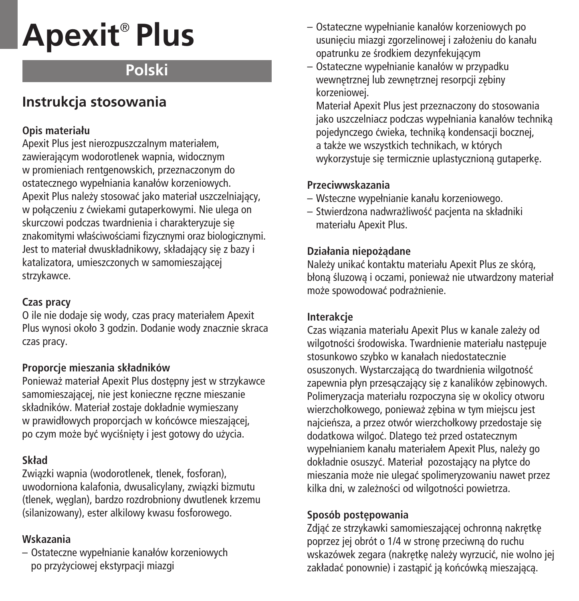# **Apexit** ® **Plus**

# **Polski**

## **Instrukcja stosowania**

## **Opis materiału**

Apexit Plus jest nierozpuszczalnym materiałem, zawierajàcym wodorotlenek wapnia, widocznym w promieniach rentgenowskich, przeznaczonym do ostatecznego wypełniania kanałów korzeniowych. Apexit Plus należy stosować jako materiał uszczelniający, w połàczeniu z çwiekami gutaperkowymi. Nie ulega on skurczowi podczas twardnienia i charakteryzuje się znakomitymi właściwościami fizycznymi oraz biologicznymi. Jest to materiał dwuskładnikowy, składający się z bazy i katalizatora, umieszczonych w samomieszajàcej strzykawce.

## **Czas pracy**

O ile nie dodaje się wody, czas pracy materiałem Apexit Plus wynosi około 3 godzin. Dodanie wody znacznie skraca czas pracy.

## **Proporcje mieszania składników**

Ponieważ materiał Apexit Plus dostępny jest w strzykawce samomieszającej, nie jest konieczne reczne mieszanie składników. Materiał zostaje dokładnie wymieszany w prawidłowych proporcjach w końcówce mieszającej. po czym może być wyciśniety i jest gotowy do użycia.

## **Skład**

Zwiàzki wapnia (wodorotlenek, tlenek, fosforan), uwodorniona kalafonia, dwusalicylany, zwiàzki bizmutu (tlenek, weglan), bardzo rozdrobniony dwutlenek krzemu (silanizowany), ester alkilowy kwasu fosforowego.

## **Wskazania**

– Ostateczne wypełnianie kanałów korzeniowych po przyżyciowej ekstyrpacji miazgi

- Ostateczne wypełnianie kanałów korzeniowych po usunieciu miazgi zgorzelinowej i założeniu do kanału opatrunku ze Êrodkiem dezynfekujàcym
- Ostateczne wypełnianie kanałów w przypadku wewnetrznej lub zewnetrznej resorpcji zebiny korzeniowej.

Materiał Apexit Plus jest przeznaczony do stosowania jako uszczelniacz podczas wypełniania kanałów technikà pojedynczego ćwieka, technika kondensacji bocznej, a także we wszystkich technikach, w których wykorzystuje się termicznie uplastycznioną gutaperkę.

## **Przeciwwskazania**

- Wsteczne wypełnianie kanału korzeniowego.
- Stwierdzona nadwra˝liwoÊç pacjenta na składniki materiału Apexit Plus.

## **Działania niepo˝àdane**

Należy unikać kontaktu materiału Apexit Plus ze skóra, błona śluzowa i oczami, ponieważ nie utwardzony materiał może spowodować podrażnienie.

## **Interakcje**

Czas wiązania materiału Apexit Plus w kanale zależy od wilgotności środowiska. Twardnienie materiału nastepuje stosunkowo szybko w kanałach niedostatecznie osuszonych. Wystarczająca do twardnienia wilgotność zapewnia płyn przesączający się z kanalików zębinowych. Polimeryzacja materiału rozpoczyna się w okolicy otworu wierzchołkowego, ponieważ zębina w tym miejscu jest najcieńsza, a przez otwór wierzchołkowy przedostaje się dodatkowa wilgoć. Dlatego też przed ostatecznym wypełnianiem kanału materiałem Apexit Plus, należy go dokładnie osuszyç. Materiał pozostajàcy na płytce do mieszania może nie ulegać spolimeryzowaniu nawet przez kilka dni, w zależności od wilgotności powietrza.

## Sposób postępowania

Zdjąć ze strzykawki samomieszającej ochronną nakrętkę poprzez jej obrót o 1/4 w stronę przeciwną do ruchu wskazówek zegara (nakrętkę należy wyrzucić, nie wolno jej zakładać ponownie) i zastapić ja końcówka mieszająca.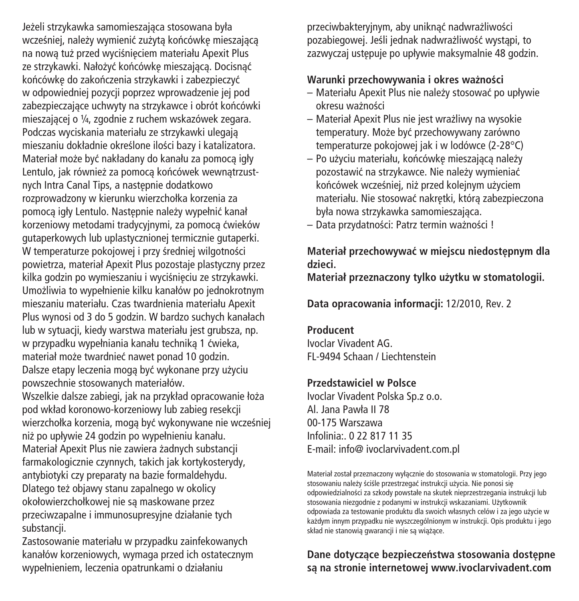Jeżeli strzykawka samomieszająca stosowana była wcześniej, należy wymienić zużyta końcówke mieszająca na nowa tuż przed wyciśnieciem materiału Apexit Plus ze strzykawki. Nałożyć końcówke mieszająca. Docisnać końcówkę do zakończenia strzykawki i zabezpieczyć w odpowiedniej pozycji poprzez wprowadzenie jej pod zabezpieczające uchwyty na strzykawce i obrót końcówki mieszajàcej o ¼, zgodnie z ruchem wskazówek zegara. Podczas wyciskania materiału ze strzykawki ulegajà mieszaniu dokładnie określone ilości bazy i katalizatora. Materiał może być nakładany do kanału za pomocą igły Lentulo, jak również za pomocą końcówek wewnątrzustnych Intra Canal Tips, a nastepnie dodatkowo rozprowadzony w kierunku wierzchołka korzenia za pomoca igły Lentulo. Następnie należy wypełnić kanał korzeniowy metodami tradycyjnymi, za pomocà çwieków gutaperkowych lub uplastycznionej termicznie gutaperki. W temperaturze pokojowej i przy średniej wilgotności powietrza, materiał Apexit Plus pozostaje plastyczny przez kilka godzin po wymieszaniu i wyciśnieciu ze strzykawki. Umożliwia to wypełnienie kilku kanałów po jednokrotnym mieszaniu materiału. Czas twardnienia materiału Apexit Plus wynosi od 3 do 5 godzin. W bardzo suchych kanałach lub w sytuacji, kiedy warstwa materiału jest grubsza, np. w przypadku wypełniania kanału technikà 1 çwieka, materiał może twardnieć nawet ponad 10 godzin. Dalsze etapy leczenia mogą być wykonane przy użyciu powszechnie stosowanych materiałów. Wszelkie dalsze zabiegi, jak na przykład opracowanie łoża pod wkład koronowo-korzeniowy lub zabieg resekcji wierzchołka korzenia, mogą być wykonywane nie wcześniej niż po upływie 24 godzin po wypełnieniu kanału. Materiał Apexit Plus nie zawiera żadnych substancji farmakologicznie czynnych, takich jak kortykosterydy, antybiotyki czy preparaty na bazie formaldehydu. Dlatego też objawy stanu zapalnego w okolicy

okołowierzchołkowej nie sà maskowane przez przeciwzapalne i immunosupresyjne działanie tych substancji.

Zastosowanie materiału w przypadku zainfekowanych kanałów korzeniowych, wymaga przed ich ostatecznym wypełnieniem, leczenia opatrunkami o działaniu

przeciwbakteryjnym, aby uniknać nadwrażliwości pozabiegowej. Jeśli jednak nadwrażliwość wystapi, to zazwyczaj ustenuje po upływie maksymalnie 48 godzin.

## **Warunki przechowywania i okres wa˝noÊci**

- Materiału Apexit Plus nie nale˝y stosowaç po upływie okresu wa˝noÊci
- Materiał Apexit Plus nie jest wrażliwy na wysokie temperatury. Może być przechowywany zarówno temperaturze pokojowej jak i w lodówce (2-28°C)
- Po użyciu materiału, końcówkę mieszającą należy pozostawić na strzykawce. Nie należy wymieniać końcówek wcześniej, niż przed kolejnym użyciem materiału. Nie stosować nakretki, która zabezpieczona była nowa strzykawka samomieszająca.
- Data przydatności: Patrz termin ważności !

## **Materiał przechowywaç w miejscu niedost´pnym dla dzieci.**

**Materiał przeznaczony tylko u˝ytku w stomatologii.**

**Data opracowania informacji:** 12/2010, Rev. 2

### **Producent**

Ivoclar Vivadent AG. FL-9494 Schaan / Liechtenstein

## **Przedstawiciel w Polsce**

Ivoclar Vivadent Polska Sp.z o.o. Al. Jana Pawła II 78 00-175 Warszawa Infolinia:. 0 22 817 11 35 E-mail: info@ ivoclarvivadent.com.pl

Materiał został przeznaczony wyłàcznie do stosowania w stomatologii. Przy jego stosowaniu należy ściśle przestrzegać instrukcji użycia. Nie ponosi się odpowiedzialnoÊci za szkody powstałe na skutek nieprzestrzegania instrukcji lub stosowania niezgodnie z podanymi w instrukcji wskazaniami. Użytkownik odpowiada za testowanie produktu dla swoich własnych celów i za jego u˝ycie w każdym innym przypadku nie wyszczególnionym w instrukcji. Opis produktu i jego skład nie stanowia gwarancji i nie są wiążące.

## **Dane** dotyczące bezpieczeństwa stosowania dostępne **sà na stronie internetowej www.ivoclarvivadent.com**